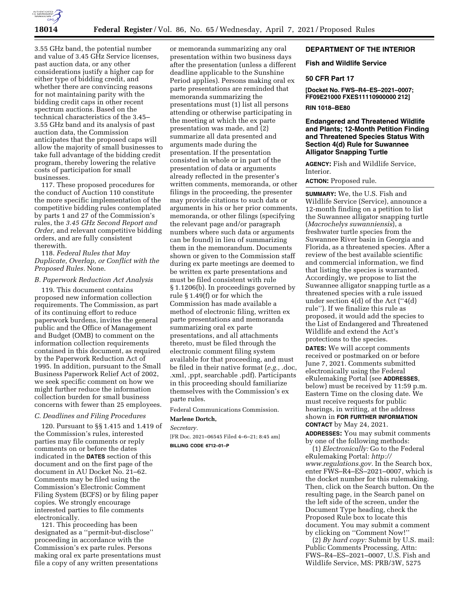

3.55 GHz band, the potential number and value of 3.45 GHz Service licenses, past auction data, or any other considerations justify a higher cap for either type of bidding credit, and whether there are convincing reasons for not maintaining parity with the bidding credit caps in other recent spectrum auctions. Based on the technical characteristics of the 3.45– 3.55 GHz band and its analysis of past auction data, the Commission anticipates that the proposed caps will allow the majority of small businesses to take full advantage of the bidding credit program, thereby lowering the relative costs of participation for small businesses.

117. These proposed procedures for the conduct of Auction 110 constitute the more specific implementation of the competitive bidding rules contemplated by parts 1 and 27 of the Commission's rules, the *3.45 GHz Second Report and Order,* and relevant competitive bidding orders, and are fully consistent therewith.

118. *Federal Rules that May Duplicate, Overlap, or Conflict with the Proposed Rules.* None.

### *B. Paperwork Reduction Act Analysis*

119. This document contains proposed new information collection requirements. The Commission, as part of its continuing effort to reduce paperwork burdens, invites the general public and the Office of Management and Budget (OMB) to comment on the information collection requirements contained in this document, as required by the Paperwork Reduction Act of 1995. In addition, pursuant to the Small Business Paperwork Relief Act of 2002, we seek specific comment on how we might further reduce the information collection burden for small business concerns with fewer than 25 employees.

# *C. Deadlines and Filing Procedures*

120. Pursuant to §§ 1.415 and 1.419 of the Commission's rules, interested parties may file comments or reply comments on or before the dates indicated in the **DATES** section of this document and on the first page of the document in AU Docket No. 21–62. Comments may be filed using the Commission's Electronic Comment Filing System (ECFS) or by filing paper copies. We strongly encourage interested parties to file comments electronically.

121. This proceeding has been designated as a ''permit-but-disclose'' proceeding in accordance with the Commission's ex parte rules. Persons making oral ex parte presentations must file a copy of any written presentations

or memoranda summarizing any oral presentation within two business days after the presentation (unless a different deadline applicable to the Sunshine Period applies). Persons making oral ex parte presentations are reminded that memoranda summarizing the presentations must (1) list all persons attending or otherwise participating in the meeting at which the ex parte presentation was made, and (2) summarize all data presented and arguments made during the presentation. If the presentation consisted in whole or in part of the presentation of data or arguments already reflected in the presenter's written comments, memoranda, or other filings in the proceeding, the presenter may provide citations to such data or arguments in his or her prior comments, memoranda, or other filings (specifying the relevant page and/or paragraph numbers where such data or arguments can be found) in lieu of summarizing them in the memorandum. Documents shown or given to the Commission staff during ex parte meetings are deemed to be written ex parte presentations and must be filed consistent with rule § 1.1206(b). In proceedings governed by rule § 1.49(f) or for which the Commission has made available a method of electronic filing, written ex parte presentations and memoranda summarizing oral ex parte presentations, and all attachments thereto, must be filed through the electronic comment filing system available for that proceeding, and must be filed in their native format (*e.g.,* .doc, .xml, .ppt, searchable .pdf). Participants in this proceeding should familiarize themselves with the Commission's ex parte rules.

Federal Communications Commission.

#### **Marlene Dortch,**

*Secretary.* 

[FR Doc. 2021–06545 Filed 4–6–21; 8:45 am] **BILLING CODE 6712–01–P** 

# **DEPARTMENT OF THE INTERIOR**

# **Fish and Wildlife Service**

# **50 CFR Part 17**

**[Docket No. FWS–R4–ES–2021–0007; FF09E21000 FXES11110900000 212]** 

### **RIN 1018–BE80**

# **Endangered and Threatened Wildlife and Plants; 12-Month Petition Finding and Threatened Species Status With Section 4(d) Rule for Suwannee Alligator Snapping Turtle**

**AGENCY:** Fish and Wildlife Service, **Interior** 

**ACTION:** Proposed rule.

**SUMMARY:** We, the U.S. Fish and Wildlife Service (Service), announce a 12-month finding on a petition to list the Suwannee alligator snapping turtle (*Macrochelys suwanniensis*), a freshwater turtle species from the Suwannee River basin in Georgia and Florida, as a threatened species. After a review of the best available scientific and commercial information, we find that listing the species is warranted. Accordingly, we propose to list the Suwannee alligator snapping turtle as a threatened species with a rule issued under section 4(d) of the Act (''4(d) rule''). If we finalize this rule as proposed, it would add the species to the List of Endangered and Threatened Wildlife and extend the Act's protections to the species.

**DATES:** We will accept comments received or postmarked on or before June 7, 2021. Comments submitted electronically using the Federal eRulemaking Portal (see **ADDRESSES**, below) must be received by 11:59 p.m. Eastern Time on the closing date. We must receive requests for public hearings, in writing, at the address shown in **FOR FURTHER INFORMATION CONTACT** by May 24, 2021.

**ADDRESSES:** You may submit comments by one of the following methods:

(1) *Electronically:* Go to the Federal eRulemaking Portal: *[http://](http://www.regulations.gov) [www.regulations.gov.](http://www.regulations.gov)* In the Search box, enter FWS–R4–ES–2021–0007, which is the docket number for this rulemaking. Then, click on the Search button. On the resulting page, in the Search panel on the left side of the screen, under the Document Type heading, check the Proposed Rule box to locate this document. You may submit a comment by clicking on ''Comment Now!''

(2) *By hard copy:* Submit by U.S. mail: Public Comments Processing, Attn: FWS–R4–ES–2021–0007, U.S. Fish and Wildlife Service, MS: PRB/3W, 5275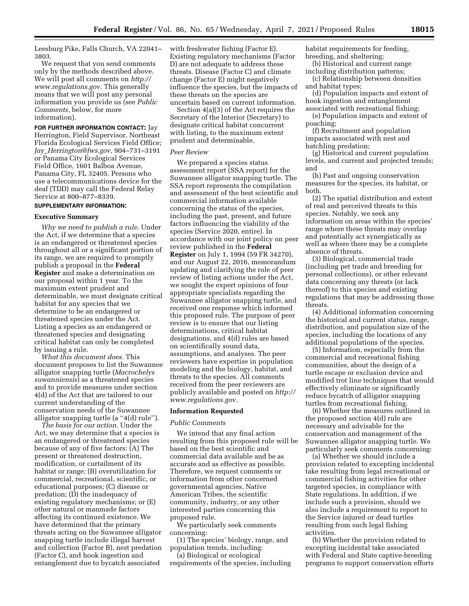Leesburg Pike, Falls Church, VA 22041– 3803.

We request that you send comments only by the methods described above. We will post all comments on *[http://](http://www.regulations.gov) [www.regulations.gov.](http://www.regulations.gov)* This generally means that we will post any personal information you provide us (see *Public Comments,* below, for more information).

**FOR FURTHER INFORMATION CONTACT:** Jay Herrington, Field Supervisor, Northeast Florida Ecological Services Field Office; *Jay*\_*[Herrington@fws.gov,](mailto:Jay_Herrington@fws.gov)* 904–731–3191 or Panama City Ecological Services Field Office, 1601 Balboa Avenue, Panama City, FL 32405. Persons who use a telecommunications device for the deaf (TDD) may call the Federal Relay Service at 800–877–8339.

# **SUPPLEMENTARY INFORMATION:**

### **Executive Summary**

*Why we need to publish a rule.* Under the Act, if we determine that a species is an endangered or threatened species throughout all or a significant portion of its range, we are required to promptly publish a proposal in the **Federal Register** and make a determination on our proposal within 1 year. To the maximum extent prudent and determinable, we must designate critical habitat for any species that we determine to be an endangered or threatened species under the Act. Listing a species as an endangered or threatened species and designating critical habitat can only be completed by issuing a rule.

*What this document does.* This document proposes to list the Suwannee alligator snapping turtle (*Macrochelys suwanniensis*) as a threatened species and to provide measures under section 4(d) of the Act that are tailored to our current understanding of the conservation needs of the Suwannee alligator snapping turtle (a ''4(d) rule'').

*The basis for our action.* Under the Act, we may determine that a species is an endangered or threatened species because of any of five factors: (A) The present or threatened destruction, modification, or curtailment of its habitat or range; (B) overutilization for commercial, recreational, scientific, or educational purposes; (C) disease or predation; (D) the inadequacy of existing regulatory mechanisms; or (E) other natural or manmade factors affecting its continued existence. We have determined that the primary threats acting on the Suwannee alligator snapping turtle include illegal harvest and collection (Factor B), nest predation (Factor C), and hook ingestion and entanglement due to bycatch associated

with freshwater fishing (Factor E). Existing regulatory mechanisms (Factor D) are not adequate to address these threats. Disease (Factor C) and climate change (Factor E) might negatively influence the species, but the impacts of these threats on the species are uncertain based on current information.

Section 4(a)(3) of the Act requires the Secretary of the Interior (Secretary) to designate critical habitat concurrent with listing, to the maximum extent prudent and determinable.

#### *Peer Review*

We prepared a species status assessment report (SSA report) for the Suwannee alligator snapping turtle. The SSA report represents the compilation and assessment of the best scientific and commercial information available concerning the status of the species, including the past, present, and future factors influencing the viability of the species (Service 2020, entire). In accordance with our joint policy on peer review published in the **Federal Register** on July 1, 1994 (59 FR 34270), and our August 22, 2016, memorandum updating and clarifying the role of peer review of listing actions under the Act, we sought the expert opinions of four appropriate specialists regarding the Suwannee alligator snapping turtle, and received one response which informed this proposed rule. The purpose of peer review is to ensure that our listing determinations, critical habitat designations, and 4(d) rules are based on scientifically sound data, assumptions, and analyses. The peer reviewers have expertise in population modeling and the biology, habitat, and threats to the species. All comments received from the peer reviewers are publicly available and posted on *[http://](http://www.regulations.gov)  [www.regulations.gov.](http://www.regulations.gov)* 

### **Information Requested**

#### *Public Comments*

We intend that any final action resulting from this proposed rule will be based on the best scientific and commercial data available and be as accurate and as effective as possible. Therefore, we request comments or information from other concerned governmental agencies, Native American Tribes, the scientific community, industry, or any other interested parties concerning this proposed rule.

We particularly seek comments concerning:

(1) The species' biology, range, and population trends, including:

(a) Biological or ecological requirements of the species, including habitat requirements for feeding, breeding, and sheltering;

(b) Historical and current range including distribution patterns;

(c) Relationship between densities and habitat types;

(d) Population impacts and extent of hook ingestion and entanglement associated with recreational fishing;

(e) Population impacts and extent of poaching;

(f) Recruitment and population impacts associated with nest and hatchling predation;

(g) Historical and current population levels, and current and projected trends; and

(h) Past and ongoing conservation measures for the species, its habitat, or both.

(2) The spatial distribution and extent of real and perceived threats to this species. Notably, we seek any information on areas within the species' range where these threats may overlap and potentially act synergistically as well as where there may be a complete absence of threats.

(3) Biological, commercial trade (including pet trade and breeding for personal collections), or other relevant data concerning any threats (or lack thereof) to this species and existing regulations that may be addressing those threats.

(4) Additional information concerning the historical and current status, range, distribution, and population size of the species, including the locations of any additional populations of the species.

(5) Information, especially from the commercial and recreational fishing communities, about the design of a turtle escape or exclusion device and modified trot line techniques that would effectively eliminate or significantly reduce bycatch of alligator snapping turtles from recreational fishing.

(6) Whether the measures outlined in the proposed section 4(d) rule are necessary and advisable for the conservation and management of the Suwannee alligator snapping turtle. We particularly seek comments concerning:

(a) Whether we should include a provision related to excepting incidental take resulting from legal recreational or commercial fishing activities for other targeted species, in compliance with State regulations. In addition, if we include such a provision, should we also include a requirement to report to the Service injured or dead turtles resulting from such legal fishing activities.

(b) Whether the provision related to excepting incidental take associated with Federal and State captive-breeding programs to support conservation efforts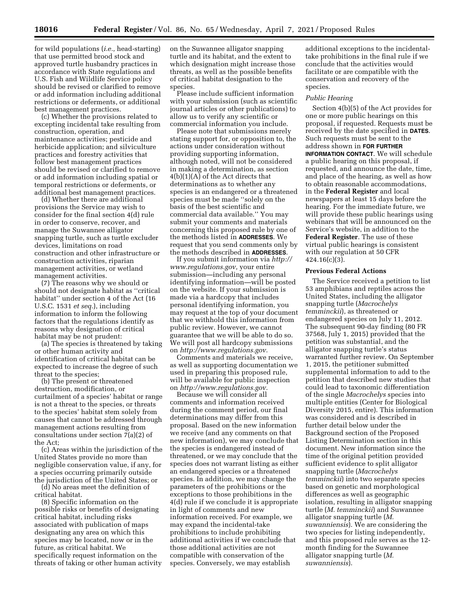for wild populations (*i.e.,* head-starting) that use permitted brood stock and approved turtle husbandry practices in accordance with State regulations and U.S. Fish and Wildlife Service policy should be revised or clarified to remove or add information including additional restrictions or deferments, or additional best management practices.

(c) Whether the provisions related to excepting incidental take resulting from construction, operation, and maintenance activities; pesticide and herbicide application; and silviculture practices and forestry activities that follow best management practices should be revised or clarified to remove or add information including spatial or temporal restrictions or deferments, or additional best management practices.

(d) Whether there are additional provisions the Service may wish to consider for the final section 4(d) rule in order to conserve, recover, and manage the Suwannee alligator snapping turtle, such as turtle excluder devices, limitations on road construction and other infrastructure or construction activities, riparian management activities, or wetland management activities.

(7) The reasons why we should or should not designate habitat as ''critical habitat'' under section 4 of the Act (16 U.S.C. 1531 *et seq.*), including information to inform the following factors that the regulations identify as reasons why designation of critical habitat may be not prudent:

(a) The species is threatened by taking or other human activity and identification of critical habitat can be expected to increase the degree of such threat to the species;

(b) The present or threatened destruction, modification, or curtailment of a species' habitat or range is not a threat to the species, or threats to the species' habitat stem solely from causes that cannot be addressed through management actions resulting from consultations under section 7(a)(2) of the Act;

(c) Areas within the jurisdiction of the United States provide no more than negligible conservation value, if any, for a species occurring primarily outside the jurisdiction of the United States; or

(d) No areas meet the definition of critical habitat.

(8) Specific information on the possible risks or benefits of designating critical habitat, including risks associated with publication of maps designating any area on which this species may be located, now or in the future, as critical habitat. We specifically request information on the threats of taking or other human activity on the Suwannee alligator snapping turtle and its habitat, and the extent to which designation might increase those threats, as well as the possible benefits of critical habitat designation to the species.

Please include sufficient information with your submission (such as scientific journal articles or other publications) to allow us to verify any scientific or commercial information you include.

Please note that submissions merely stating support for, or opposition to, the actions under consideration without providing supporting information, although noted, will not be considered in making a determination, as section 4(b)(1)(A) of the Act directs that determinations as to whether any species is an endangered or a threatened species must be made ''solely on the basis of the best scientific and commercial data available.'' You may submit your comments and materials concerning this proposed rule by one of the methods listed in **ADDRESSES**. We request that you send comments only by the methods described in **ADDRESSES**.

If you submit information via *[http://](http://www.regulations.gov) [www.regulations.gov,](http://www.regulations.gov)* your entire submission—including any personal identifying information—will be posted on the website. If your submission is made via a hardcopy that includes personal identifying information, you may request at the top of your document that we withhold this information from public review. However, we cannot guarantee that we will be able to do so. We will post all hardcopy submissions on *[http://www.regulations.gov.](http://www.regulations.gov)* 

Comments and materials we receive, as well as supporting documentation we used in preparing this proposed rule, will be available for public inspection on *[http://www.regulations.gov.](http://www.regulations.gov)* 

Because we will consider all comments and information received during the comment period, our final determinations may differ from this proposal. Based on the new information we receive (and any comments on that new information), we may conclude that the species is endangered instead of threatened, or we may conclude that the species does not warrant listing as either an endangered species or a threatened species. In addition, we may change the parameters of the prohibitions or the exceptions to those prohibitions in the 4(d) rule if we conclude it is appropriate in light of comments and new information received. For example, we may expand the incidental-take prohibitions to include prohibiting additional activities if we conclude that those additional activities are not compatible with conservation of the species. Conversely, we may establish

additional exceptions to the incidentaltake prohibitions in the final rule if we conclude that the activities would facilitate or are compatible with the conservation and recovery of the species.

### *Public Hearing*

Section 4(b)(5) of the Act provides for one or more public hearings on this proposal, if requested. Requests must be received by the date specified in **DATES**. Such requests must be sent to the address shown in **FOR FURTHER INFORMATION CONTACT**. We will schedule a public hearing on this proposal, if requested, and announce the date, time, and place of the hearing, as well as how to obtain reasonable accommodations, in the **Federal Register** and local newspapers at least 15 days before the hearing. For the immediate future, we will provide these public hearings using webinars that will be announced on the Service's website, in addition to the **Federal Register**. The use of these virtual public hearings is consistent with our regulation at 50 CFR  $424.16(c)(3)$ .

### **Previous Federal Actions**

The Service received a petition to list 53 amphibians and reptiles across the United States, including the alligator snapping turtle (*Macrochelys temminckii*), as threatened or endangered species on July 11, 2012. The subsequent 90-day finding (80 FR 37568, July 1, 2015) provided that the petition was substantial, and the alligator snapping turtle's status warranted further review. On September 1, 2015, the petitioner submitted supplemental information to add to the petition that described new studies that could lead to taxonomic differentiation of the single *Macrochelys* species into multiple entities (Center for Biological Diversity 2015, entire). This information was considered and is described in further detail below under the Background section of the Proposed Listing Determination section in this document. New information since the time of the original petition provided sufficient evidence to split alligator snapping turtle (*Macrochelys temminckii*) into two separate species based on genetic and morphological differences as well as geographic isolation, resulting in alligator snapping turtle (*M. temminckii*) and Suwannee alligator snapping turtle (*M. suwanniensis*). We are considering the two species for listing independently, and this proposed rule serves as the 12 month finding for the Suwannee alligator snapping turtle (*M. suwanniensis*).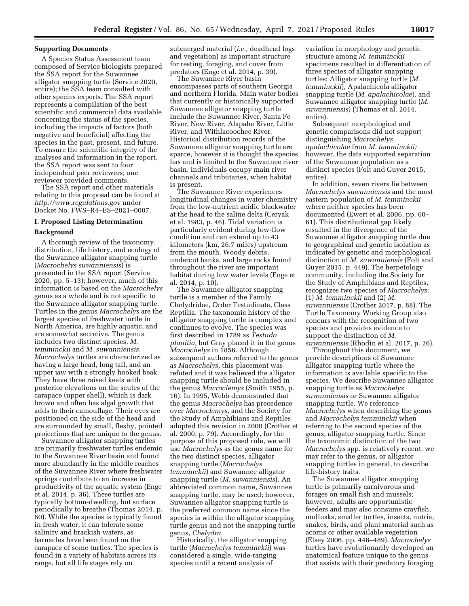# **Supporting Documents**

A Species Status Assessment team composed of Service biologists prepared the SSA report for the Suwannee alligator snapping turtle (Service 2020, entire); the SSA team consulted with other species experts. The SSA report represents a compilation of the best scientific and commercial data available concerning the status of the species, including the impacts of factors (both negative and beneficial) affecting the species in the past, present, and future. To ensure the scientific integrity of the analyses and information in the report, the SSA report was sent to four independent peer reviewers; one reviewer provided comments.

The SSA report and other materials relating to this proposal can be found at *<http://www.regulations.gov>* under Docket No. FWS–R4–ES–2021–0007.

# **I. Proposed Listing Determination**

# **Background**

A thorough review of the taxonomy, distribution, life history, and ecology of the Suwannee alligator snapping turtle (*Macrochelys suwanniensis*) is presented in the SSA report (Service 2020, pp. 5–13); however, much of this information is based on the *Macrochelys*  genus as a whole and is not specific to the Suwannee alligator snapping turtle. Turtles in the genus *Macrochelys* are the largest species of freshwater turtle in North America, are highly aquatic, and are somewhat secretive. The genus includes two distinct species, *M. temminckii* and *M. suwanniensis. Macrochelys* turtles are characterized as having a large head, long tail, and an upper jaw with a strongly hooked beak. They have three raised keels with posterior elevations on the scutes of the carapace (upper shell), which is dark brown and often has algal growth that adds to their camouflage. Their eyes are positioned on the side of the head and are surrounded by small, fleshy, pointed projections that are unique to the genus.

Suwannee alligator snapping turtles are primarily freshwater turtles endemic to the Suwannee River basin and found more abundantly in the middle reaches of the Suwannee River where freshwater springs contribute to an increase in productivity of the aquatic system (Enge et al. 2014, p. 36). These turtles are typically bottom-dwelling, but surface periodically to breathe (Thomas 2014, p. 60). While the species is typically found in fresh water, it can tolerate some salinity and brackish waters, as barnacles have been found on the carapace of some turtles. The species is found in a variety of habitats across its range, but all life stages rely on

submerged material (*i.e.,* deadhead logs and vegetation) as important structure for resting, foraging, and cover from predators (Enge et al. 2014, p. 39).

The Suwannee River basin encompasses parts of southern Georgia and northern Florida. Main water bodies that currently or historically supported Suwannee alligator snapping turtle include the Suwannee River, Santa Fe River, New River, Alapaha River, Little River, and Withlacoochee River. Historical distribution records of the Suwannee alligator snapping turtle are sparce, however it is thought the species has and is limited to the Suwannee river basin. Individuals occupy main river channels and tributaries, when habitat is present.

The Suwannee River experiences longitudinal changes in water chemistry from the low-nutrient acidic blackwater at the head to the saline delta (Ceryak et al. 1983, p. 46). Tidal variation is particularly evident during low-flow condition and can extend up to 43 kilometers (km, 26.7 miles) upstream from the mouth. Woody debris, undercut banks, and large rocks found throughout the river are important habitat during low water levels (Enge et al. 2014, p. 10).

The Suwannee alligator snapping turtle is a member of the Family Chelydridae, Order Testudinata, Class Reptilia. The taxonomic history of the alligator snapping turtle is complex and continues to evolve. The species was first described in 1789 as *Testudo planitia,* but Gray placed it in the genus *Macrochelys* in 1856. Although subsequent authors referred to the genus as *Macrochelys,* this placement was refuted and it was believed the alligator snapping turtle should be included in the genus *Macroclemys* (Smith 1955, p. 16). In 1995, Webb demonstrated that the genus *Macrochelys* has precedence over *Macroclemys,* and the Society for the Study of Amphibians and Reptiles adopted this revision in 2000 (Crother et al. 2000, p. 79). Accordingly, for the purpose of this proposed rule, we will use *Macrochelys* as the genus name for the two distinct species, alligator snapping turtle (*Macrochelys temminckii*) and Suwannee alligator snapping turtle (*M. suwanniensis*). An abbreviated common name, Suwannee snapping turtle, may be used; however, Suwannee alligator snapping turtle is the preferred common name since the species is within the alligator snapping turtle genus and not the snapping turtle genus, *Chelydra.* 

Historically, the alligator snapping turtle (*Macrochelys temminckii*) was considered a single, wide-ranging species until a recent analysis of

variation in morphology and genetic structure among *M. temminckii*  specimens resulted in differentiation of three species of alligator snapping turtles: Alligator snapping turtle (*M. temminckii*), Apalachicola alligator snapping turtle (*M. apalachicolae*), and Suwannee alligator snapping turtle (*M. suwanniensis*) (Thomas et al. 2014, entire).

Subsequent morphological and genetic comparisons did not support distinguishing *Macrochelys apalachicolae* from *M. temminckii;*  however, the data supported separation of the Suwannee population as a distinct species (Folt and Guyer 2015, entire).

In addition, seven rivers lie between *Macrochelys suwanniensis* and the most eastern population of *M. temminckii*  where neither species has been documented (Ewert et al. 2006, pp. 60– 61). This distributional gap likely resulted in the divergence of the Suwannee alligator snapping turtle due to geographical and genetic isolation as indicated by genetic and morphological distinction of *M. suwanniensis* (Folt and Guyer 2015, p. 449). The herpetology community, including the Society for the Study of Amphibians and Reptiles, recognizes two species of *Macrochelys:*  (1) *M. temminckii* and (2) *M. suwanniensis* (Crother 2017, p. 88). The Turtle Taxonomy Working Group also concurs with the recognition of two species and provides evidence to support the distinction of *M. suwanniensis* (Rhodin et al. 2017, p. 26).

Throughout this document, we provide descriptions of Suwannee alligator snapping turtle where the information is available specific to the species. We describe Suwannee alligator snapping turtle as *Macrochelys suwanniensis* or Suwannee alligator snapping turtle. We reference *Macrochelys* when describing the genus and *Macrochelys temminckii* when referring to the second species of the genus, alligator snapping turtle. Since the taxonomic distinction of the two *Macrochelys* spp. is relatively recent, we may refer to the genus, or alligator snapping turtles in general, to describe life-history traits.

The Suwannee alligator snapping turtle is primarily carnivorous and forages on small fish and mussels; however, adults are opportunistic feeders and may also consume crayfish, mollusks, smaller turtles, insects, nutria, snakes, birds, and plant material such as acorns or other available vegetation (Elsey 2006, pp. 448–489). *Macrochelys*  turtles have evolutionarily developed an anatomical feature unique to the genus that assists with their predatory foraging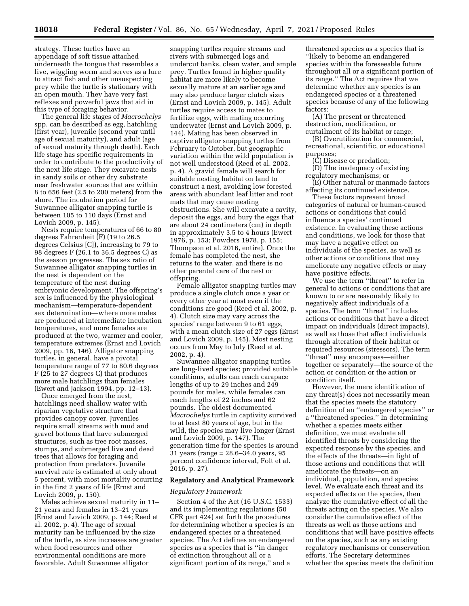strategy. These turtles have an appendage of soft tissue attached underneath the tongue that resembles a live, wiggling worm and serves as a lure to attract fish and other unsuspecting prey while the turtle is stationary with an open mouth. They have very fast reflexes and powerful jaws that aid in this type of foraging behavior.

The general life stages of *Macrochelys*  spp. can be described as egg, hatchling (first year), juvenile (second year until age of sexual maturity), and adult (age of sexual maturity through death). Each life stage has specific requirements in order to contribute to the productivity of the next life stage. They excavate nests in sandy soils or other dry substrate near freshwater sources that are within 8 to 656 feet (2.5 to 200 meters) from the shore. The incubation period for Suwannee alligator snapping turtle is between 105 to 110 days (Ernst and Lovich 2009, p. 145).

Nests require temperatures of 66 to 80 degrees Fahrenheit (F) (19 to 26.5 degrees Celsius [C]), increasing to 79 to 98 degrees F (26.1 to 36.5 degrees C) as the season progresses. The sex ratio of Suwannee alligator snapping turtles in the nest is dependent on the temperature of the nest during embryonic development. The offspring's sex is influenced by the physiological mechanism—temperature-dependent sex determination—where more males are produced at intermediate incubation temperatures, and more females are produced at the two, warmer and cooler, temperature extremes (Ernst and Lovich 2009, pp. 16, 146). Alligator snapping turtles, in general, have a pivotal temperature range of 77 to 80.6 degrees F (25 to 27 degrees C) that produces more male hatchlings than females (Ewert and Jackson 1994, pp. 12–13).

Once emerged from the nest, hatchlings need shallow water with riparian vegetative structure that provides canopy cover. Juveniles require small streams with mud and gravel bottoms that have submerged structures, such as tree root masses, stumps, and submerged live and dead trees that allows for foraging and protection from predators. Juvenile survival rate is estimated at only about 5 percent, with most mortality occurring in the first 2 years of life (Ernst and Lovich 2009, p. 150).

Males achieve sexual maturity in 11– 21 years and females in 13–21 years (Ernst and Lovich 2009, p. 144; Reed et al. 2002, p. 4). The age of sexual maturity can be influenced by the size of the turtle, as size increases are greater when food resources and other environmental conditions are more favorable. Adult Suwannee alligator

snapping turtles require streams and rivers with submerged logs and undercut banks, clean water, and ample prey. Turtles found in higher quality habitat are more likely to become sexually mature at an earlier age and may also produce larger clutch sizes (Ernst and Lovich 2009, p. 145). Adult turtles require access to mates to fertilize eggs, with mating occurring underwater (Ernst and Lovich 2009, p. 144). Mating has been observed in captive alligator snapping turtles from February to October, but geographic variation within the wild population is not well understood (Reed et al. 2002, p. 4). A gravid female will search for suitable nesting habitat on land to construct a nest, avoiding low forested areas with abundant leaf litter and root mats that may cause nesting obstructions. She will excavate a cavity, deposit the eggs, and bury the eggs that are about 24 centimeters (cm) in depth in approximately 3.5 to 4 hours (Ewert 1976, p. 153; Powders 1978, p. 155; Thompson et al. 2016, entire). Once the female has completed the nest, she returns to the water, and there is no other parental care of the nest or offspring.

Female alligator snapping turtles may produce a single clutch once a year or every other year at most even if the conditions are good (Reed et al. 2002, p. 4). Clutch size may vary across the species' range between 9 to 61 eggs, with a mean clutch size of 27 eggs (Ernst and Lovich 2009, p. 145). Most nesting occurs from May to July (Reed et al. 2002, p. 4).

Suwannee alligator snapping turtles are long-lived species; provided suitable conditions, adults can reach carapace lengths of up to 29 inches and 249 pounds for males, while females can reach lengths of 22 inches and 62 pounds. The oldest documented *Macrochelys* turtle in captivity survived to at least 80 years of age, but in the wild, the species may live longer (Ernst and Lovich 2009, p. 147). The generation time for the species is around 31 years (range = 28.6–34.0 years, 95 percent confidence interval, Folt et al. 2016, p. 27).

### **Regulatory and Analytical Framework**

### *Regulatory Framework*

Section 4 of the Act (16 U.S.C. 1533) and its implementing regulations (50 CFR part 424) set forth the procedures for determining whether a species is an endangered species or a threatened species. The Act defines an endangered species as a species that is ''in danger of extinction throughout all or a significant portion of its range,'' and a

threatened species as a species that is ''likely to become an endangered species within the foreseeable future throughout all or a significant portion of its range.'' The Act requires that we determine whether any species is an endangered species or a threatened species because of any of the following factors:

(A) The present or threatened destruction, modification, or curtailment of its habitat or range;

(B) Overutilization for commercial, recreational, scientific, or educational purposes;

(C) Disease or predation;

(D) The inadequacy of existing regulatory mechanisms; or

(E) Other natural or manmade factors affecting its continued existence.

These factors represent broad categories of natural or human-caused actions or conditions that could influence a species' continued existence. In evaluating these actions and conditions, we look for those that may have a negative effect on individuals of the species, as well as other actions or conditions that may ameliorate any negative effects or may have positive effects.

We use the term ''threat'' to refer in general to actions or conditions that are known to or are reasonably likely to negatively affect individuals of a species. The term "threat" includes actions or conditions that have a direct impact on individuals (direct impacts), as well as those that affect individuals through alteration of their habitat or required resources (stressors). The term ''threat'' may encompass—either together or separately—the source of the action or condition or the action or condition itself.

However, the mere identification of any threat(s) does not necessarily mean that the species meets the statutory definition of an ''endangered species'' or a ''threatened species.'' In determining whether a species meets either definition, we must evaluate all identified threats by considering the expected response by the species, and the effects of the threats—in light of those actions and conditions that will ameliorate the threats—on an individual, population, and species level. We evaluate each threat and its expected effects on the species, then analyze the cumulative effect of all the threats acting on the species. We also consider the cumulative effect of the threats as well as those actions and conditions that will have positive effects on the species, such as any existing regulatory mechanisms or conservation efforts. The Secretary determines whether the species meets the definition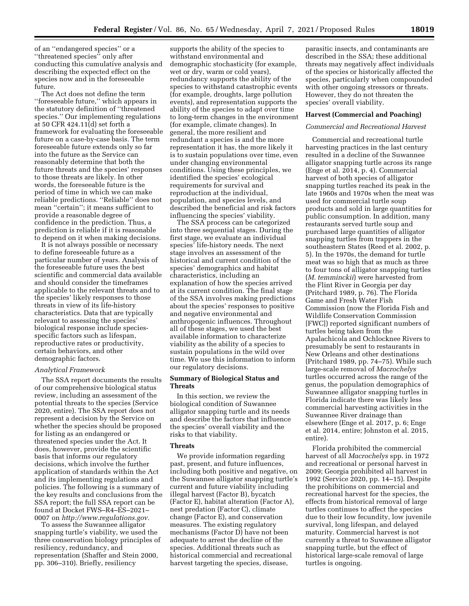of an ''endangered species'' or a ''threatened species'' only after conducting this cumulative analysis and describing the expected effect on the species now and in the foreseeable future.

The Act does not define the term ''foreseeable future,'' which appears in the statutory definition of ''threatened species.'' Our implementing regulations at 50 CFR 424.11(d) set forth a framework for evaluating the foreseeable future on a case-by-case basis. The term foreseeable future extends only so far into the future as the Service can reasonably determine that both the future threats and the species' responses to those threats are likely. In other words, the foreseeable future is the period of time in which we can make reliable predictions. ''Reliable'' does not mean ''certain''; it means sufficient to provide a reasonable degree of confidence in the prediction. Thus, a prediction is reliable if it is reasonable to depend on it when making decisions.

It is not always possible or necessary to define foreseeable future as a particular number of years. Analysis of the foreseeable future uses the best scientific and commercial data available and should consider the timeframes applicable to the relevant threats and to the species' likely responses to those threats in view of its life-history characteristics. Data that are typically relevant to assessing the species' biological response include speciesspecific factors such as lifespan, reproductive rates or productivity, certain behaviors, and other demographic factors.

### *Analytical Framework*

The SSA report documents the results of our comprehensive biological status review, including an assessment of the potential threats to the species (Service 2020, entire). The SSA report does not represent a decision by the Service on whether the species should be proposed for listing as an endangered or threatened species under the Act. It does, however, provide the scientific basis that informs our regulatory decisions, which involve the further application of standards within the Act and its implementing regulations and policies. The following is a summary of the key results and conclusions from the SSA report; the full SSA report can be found at Docket FWS–R4–ES–2021– 0007 on *[http://www.regulations.gov.](http://www.regulations.gov)* 

To assess the Suwannee alligator snapping turtle's viability, we used the three conservation biology principles of resiliency, redundancy, and representation (Shaffer and Stein 2000, pp. 306–310). Briefly, resiliency

supports the ability of the species to withstand environmental and demographic stochasticity (for example, wet or dry, warm or cold years), redundancy supports the ability of the species to withstand catastrophic events (for example, droughts, large pollution events), and representation supports the ability of the species to adapt over time to long-term changes in the environment (for example, climate changes). In general, the more resilient and redundant a species is and the more representation it has, the more likely it is to sustain populations over time, even under changing environmental conditions. Using these principles, we identified the species' ecological requirements for survival and reproduction at the individual, population, and species levels, and described the beneficial and risk factors influencing the species' viability.

The SSA process can be categorized into three sequential stages. During the first stage, we evaluate an individual species' life-history needs. The next stage involves an assessment of the historical and current condition of the species' demographics and habitat characteristics, including an explanation of how the species arrived at its current condition. The final stage of the SSA involves making predictions about the species' responses to positive and negative environmental and anthropogenic influences. Throughout all of these stages, we used the best available information to characterize viability as the ability of a species to sustain populations in the wild over time. We use this information to inform our regulatory decisions.

# **Summary of Biological Status and Threats**

In this section, we review the biological condition of Suwannee alligator snapping turtle and its needs and describe the factors that influence the species' overall viability and the risks to that viability.

#### **Threats**

We provide information regarding past, present, and future influences, including both positive and negative, on the Suwannee alligator snapping turtle's current and future viability including illegal harvest (Factor B), bycatch (Factor E), habitat alteration (Factor A), nest predation (Factor C), climate change (Factor E), and conservation measures. The existing regulatory mechanisms (Factor D) have not been adequate to arrest the decline of the species. Additional threats such as historical commercial and recreational harvest targeting the species, disease,

parasitic insects, and contaminants are described in the SSA; these additional threats may negatively affect individuals of the species or historically affected the species, particularly when compounded with other ongoing stressors or threats. However, they do not threaten the species' overall viability.

### **Harvest (Commercial and Poaching)**

### *Commercial and Recreational Harvest*

Commercial and recreational turtle harvesting practices in the last century resulted in a decline of the Suwannee alligator snapping turtle across its range (Enge et al. 2014, p. 4). Commercial harvest of both species of alligator snapping turtles reached its peak in the late 1960s and 1970s when the meat was used for commercial turtle soup products and sold in large quantities for public consumption. In addition, many restaurants served turtle soup and purchased large quantities of alligator snapping turtles from trappers in the southeastern States (Reed et al. 2002, p. 5). In the 1970s, the demand for turtle meat was so high that as much as three to four tons of alligator snapping turtles (*M. temminckii*) were harvested from the Flint River in Georgia per day (Pritchard 1989, p. 76). The Florida Game and Fresh Water Fish Commission (now the Florida Fish and Wildlife Conservation Commission [FWC]) reported significant numbers of turtles being taken from the Apalachicola and Ochlocknee Rivers to presumably be sent to restaurants in New Orleans and other destinations (Pritchard 1989, pp. 74–75). While such large-scale removal of *Macrochelys*  turtles occurred across the range of the genus, the population demographics of Suwannee alligator snapping turtles in Florida indicate there was likely less commercial harvesting activities in the Suwannee River drainage than elsewhere (Enge et al. 2017, p. 6; Enge et al. 2014, entire; Johnston et al. 2015, entire).

Florida prohibited the commercial harvest of all *Macrochelys* spp. in 1972 and recreational or personal harvest in 2009; Georgia prohibited all harvest in 1992 (Service 2020, pp. 14–15). Despite the prohibitions on commercial and recreational harvest for the species, the effects from historical removal of large turtles continues to affect the species due to their low fecundity, low juvenile survival, long lifespan, and delayed maturity. Commercial harvest is not currently a threat to Suwannee alligator snapping turtle, but the effect of historical large-scale removal of large turtles is ongoing.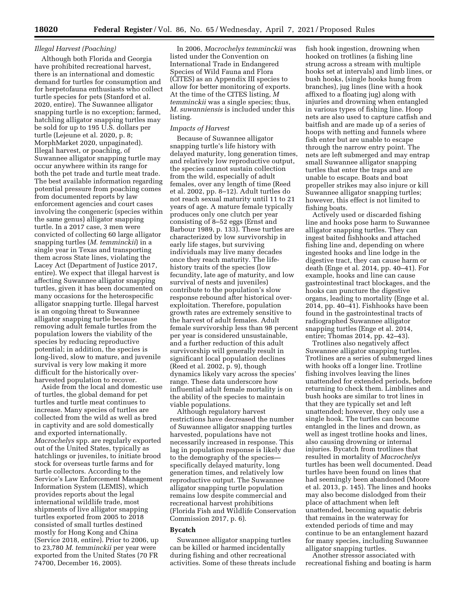# *Illegal Harvest (Poaching)*

Although both Florida and Georgia have prohibited recreational harvest, there is an international and domestic demand for turtles for consumption and for herpetofauna enthusiasts who collect turtle species for pets (Stanford et al. 2020, entire). The Suwannee alligator snapping turtle is no exception; farmed, hatchling alligator snapping turtles may be sold for up to 195 U.S. dollars per turtle (Lejeune et al. 2020, p. 8; MorphMarket 2020, unpaginated). Illegal harvest, or poaching, of Suwannee alligator snapping turtle may occur anywhere within its range for both the pet trade and turtle meat trade. The best available information regarding potential pressure from poaching comes from documented reports by law enforcement agencies and court cases involving the congeneric (species within the same genus) alligator snapping turtle. In a 2017 case, 3 men were convicted of collecting 60 large alligator snapping turtles (*M. temminckii*) in a single year in Texas and transporting them across State lines, violating the Lacey Act (Department of Justice 2017, entire). We expect that illegal harvest is affecting Suwannee alligator snapping turtles, given it has been documented on many occasions for the heterospecific alligator snapping turtle. Illegal harvest is an ongoing threat to Suwannee alligator snapping turtle because removing adult female turtles from the population lowers the viability of the species by reducing reproductive potential; in addition, the species is long-lived, slow to mature, and juvenile survival is very low making it more difficult for the historically overharvested population to recover.

Aside from the local and domestic use of turtles, the global demand for pet turtles and turtle meat continues to increase. Many species of turtles are collected from the wild as well as bred in captivity and are sold domestically and exported internationally. *Macrochelys* spp. are regularly exported out of the United States, typically as hatchlings or juveniles, to initiate brood stock for overseas turtle farms and for turtle collectors. According to the Service's Law Enforcement Management Information System (LEMIS), which provides reports about the legal international wildlife trade, most shipments of live alligator snapping turtles exported from 2005 to 2018 consisted of small turtles destined mostly for Hong Kong and China (Service 2018, entire). Prior to 2006, up to 23,780 *M. temminckii* per year were exported from the United States (70 FR 74700, December 16, 2005).

In 2006, *Macrochelys temminckii* was listed under the Convention on International Trade in Endangered Species of Wild Fauna and Flora (CITES) as an Appendix III species to allow for better monitoring of exports. At the time of the CITES listing, *M temminckii* was a single species; thus, *M. suwanniensis* is included under this listing.

### *Impacts of Harvest*

Because of Suwannee alligator snapping turtle's life history with delayed maturity, long generation times, and relatively low reproductive output, the species cannot sustain collection from the wild, especially of adult females, over any length of time (Reed et al. 2002, pp. 8–12). Adult turtles do not reach sexual maturity until 11 to 21 years of age. A mature female typically produces only one clutch per year consisting of 8–52 eggs (Ernst and Barbour 1989, p. 133). These turtles are characterized by low survivorship in early life stages, but surviving individuals may live many decades once they reach maturity. The lifehistory traits of the species (low fecundity, late age of maturity, and low survival of nests and juveniles) contribute to the population's slow response rebound after historical overexploitation. Therefore, population growth rates are extremely sensitive to the harvest of adult females. Adult female survivorship less than 98 percent per year is considered unsustainable, and a further reduction of this adult survivorship will generally result in significant local population declines (Reed et al. 2002, p. 9), though dynamics likely vary across the species' range. These data underscore how influential adult female mortality is on the ability of the species to maintain viable populations.

Although regulatory harvest restrictions have decreased the number of Suwannee alligator snapping turtles harvested, populations have not necessarily increased in response. This lag in population response is likely due to the demography of the species specifically delayed maturity, long generation times, and relatively low reproductive output. The Suwannee alligator snapping turtle population remains low despite commercial and recreational harvest prohibitions (Florida Fish and Wildlife Conservation Commission 2017, p. 6).

#### **Bycatch**

Suwannee alligator snapping turtles can be killed or harmed incidentally during fishing and other recreational activities. Some of these threats include fish hook ingestion, drowning when hooked on trotlines (a fishing line strung across a stream with multiple hooks set at intervals) and limb lines, or bush hooks, (single hooks hung from branches), jug lines (line with a hook affixed to a floating jug) along with injuries and drowning when entangled in various types of fishing line. Hoop nets are also used to capture catfish and baitfish and are made up of a series of hoops with netting and funnels where fish enter but are unable to escape through the narrow entry point. The nets are left submerged and may entrap small Suwannee alligator snapping turtles that enter the traps and are unable to escape. Boats and boat propeller strikes may also injure or kill Suwannee alligator snapping turtles; however, this effect is not limited to fishing boats.

Actively used or discarded fishing line and hooks pose harm to Suwannee alligator snapping turtles. They can ingest baited fishhooks and attached fishing line and, depending on where ingested hooks and line lodge in the digestive tract, they can cause harm or death (Enge et al. 2014, pp. 40–41). For example, hooks and line can cause gastrointestinal tract blockages, and the hooks can puncture the digestive organs, leading to mortality (Enge et al. 2014, pp. 40–41). Fishhooks have been found in the gastrointestinal tracts of radiographed Suwannee alligator snapping turtles (Enge et al. 2014, entire; Thomas 2014, pp. 42–43).

Trotlines also negatively affect Suwannee alligator snapping turtles. Trotlines are a series of submerged lines with hooks off a longer line. Trotline fishing involves leaving the lines unattended for extended periods, before returning to check them. Limblines and bush hooks are similar to trot lines in that they are typically set and left unattended; however, they only use a single hook. The turtles can become entangled in the lines and drown, as well as ingest trotline hooks and lines, also causing drowning or internal injuries. Bycatch from trotlines that resulted in mortality of *Macrochelys*  turtles has been well documented. Dead turtles have been found on lines that had seemingly been abandoned (Moore et al. 2013, p. 145). The lines and hooks may also become dislodged from their place of attachment when left unattended, becoming aquatic debris that remains in the waterway for extended periods of time and may continue to be an entanglement hazard for many species, including Suwannee alligator snapping turtles.

Another stressor associated with recreational fishing and boating is harm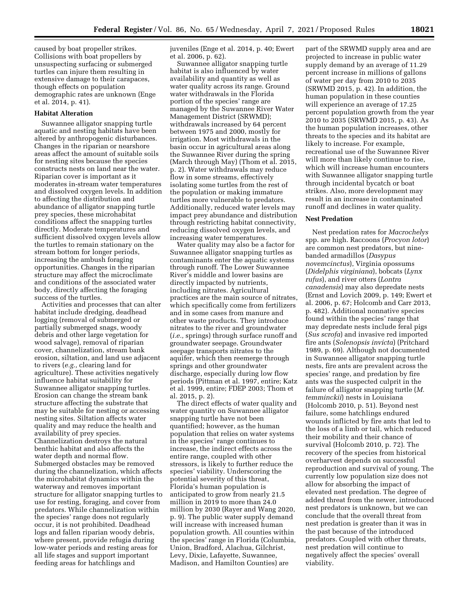caused by boat propeller strikes. Collisions with boat propellers by unsuspecting surfacing or submerged turtles can injure them resulting in extensive damage to their carapaces, though effects on population demographic rates are unknown (Enge et al. 2014, p. 41).

# **Habitat Alteration**

Suwannee alligator snapping turtle aquatic and nesting habitats have been altered by anthropogenic disturbances. Changes in the riparian or nearshore areas affect the amount of suitable soils for nesting sites because the species constructs nests on land near the water. Riparian cover is important as it moderates in-stream water temperatures and dissolved oxygen levels. In addition to affecting the distribution and abundance of alligator snapping turtle prey species, these microhabitat conditions affect the snapping turtles directly. Moderate temperatures and sufficient dissolved oxygen levels allow the turtles to remain stationary on the stream bottom for longer periods, increasing the ambush foraging opportunities. Changes in the riparian structure may affect the microclimate and conditions of the associated water body, directly affecting the foraging success of the turtles.

Activities and processes that can alter habitat include dredging, deadhead logging (removal of submerged or partially submerged snags, woody debris and other large vegetation for wood salvage), removal of riparian cover, channelization, stream bank erosion, siltation, and land use adjacent to rivers (*e.g.,* clearing land for agriculture). These activities negatively influence habitat suitability for Suwannee alligator snapping turtles. Erosion can change the stream bank structure affecting the substrate that may be suitable for nesting or accessing nesting sites. Siltation affects water quality and may reduce the health and availability of prey species. Channelization destroys the natural benthic habitat and also affects the water depth and normal flow. Submerged obstacles may be removed during the channelization, which affects the microhabitat dynamics within the waterway and removes important structure for alligator snapping turtles to use for resting, foraging, and cover from predators. While channelization within the species' range does not regularly occur, it is not prohibited. Deadhead logs and fallen riparian woody debris, where present, provide refugia during low-water periods and resting areas for all life stages and support important feeding areas for hatchlings and

juveniles (Enge et al. 2014, p. 40; Ewert et al. 2006, p. 62).

Suwannee alligator snapping turtle habitat is also influenced by water availability and quantity as well as water quality across its range. Ground water withdrawals in the Florida portion of the species' range are managed by the Suwannee River Water Management District (SRWMD); withdrawals increased by 64 percent between 1975 and 2000, mostly for irrigation. Most withdrawals in the basin occur in agricultural areas along the Suwannee River during the spring (March through May) (Thom et al. 2015, p. 2). Water withdrawals may reduce flow in some streams, effectively isolating some turtles from the rest of the population or making immature turtles more vulnerable to predators. Additionally, reduced water levels may impact prey abundance and distribution through restricting habitat connectivity, reducing dissolved oxygen levels, and increasing water temperatures.

Water quality may also be a factor for Suwannee alligator snapping turtles as contaminants enter the aquatic systems through runoff. The Lower Suwannee River's middle and lower basins are directly impacted by nutrients, including nitrates. Agricultural practices are the main source of nitrates, which specifically come from fertilizers and in some cases from manure and other waste products. They introduce nitrates to the river and groundwater (*i.e.,* springs) through surface runoff and groundwater seepage. Groundwater seepage transports nitrates to the aquifer, which then reemerge through springs and other groundwater discharge, especially during low flow periods (Pittman et al. 1997, entire; Katz et al. 1999, entire; FDEP 2003; Thom et al. 2015, p. 2).

The direct effects of water quality and water quantity on Suwannee alligator snapping turtle have not been quantified; however, as the human population that relies on water systems in the species' range continues to increase, the indirect effects across the entire range, coupled with other stressors, is likely to further reduce the species' viability. Underscoring the potential severity of this threat, Florida's human population is anticipated to grow from nearly 21.5 million in 2019 to more than 24.0 million by 2030 (Rayer and Wang 2020, p. 9). The public water supply demand will increase with increased human population growth. All counties within the species' range in Florida (Columbia, Union, Bradford, Alachua, Gilchrist, Levy, Dixie, Lafayette, Suwannee, Madison, and Hamilton Counties) are

part of the SRWMD supply area and are projected to increase in public water supply demand by an average of 11.29 percent increase in millions of gallons of water per day from 2010 to 2035 (SRWMD 2015, p. 42). In addition, the human population in these counties will experience an average of 17.25 percent population growth from the year 2010 to 2035 (SRWMD 2015, p. 43). As the human population increases, other threats to the species and its habitat are likely to increase. For example, recreational use of the Suwannee River will more than likely continue to rise, which will increase human encounters with Suwannee alligator snapping turtle through incidental bycatch or boat strikes. Also, more development may result in an increase in contaminated runoff and declines in water quality.

### **Nest Predation**

Nest predation rates for *Macrochelys*  spp. are high. Raccoons (*Procyon lotor*) are common nest predators, but ninebanded armadillos (*Dasypus novemcinctus*), Virginia opossums (*Didelphis virginiana*), bobcats (*Lynx rufus*), and river otters (*Lontra canadensis*) may also depredate nests (Ernst and Lovich 2009, p. 149; Ewert et al. 2006, p. 67; Holcomb and Carr 2013, p. 482). Additional nonnative species found within the species' range that may depredate nests include feral pigs (*Sus scrofa*) and invasive red imported fire ants (*Solenopsis invicta*) (Pritchard 1989, p. 69). Although not documented in Suwannee alligator snapping turtle nests, fire ants are prevalent across the species' range, and predation by fire ants was the suspected culprit in the failure of alligator snapping turtle (*M. temminckii*) nests in Louisiana (Holcomb 2010, p. 51). Beyond nest failure, some hatchlings endured wounds inflicted by fire ants that led to the loss of a limb or tail, which reduced their mobility and their chance of survival (Holcomb 2010, p. 72). The recovery of the species from historical overharvest depends on successful reproduction and survival of young. The currently low population size does not allow for absorbing the impact of elevated nest predation. The degree of added threat from the newer, introduced nest predators is unknown, but we can conclude that the overall threat from nest predation is greater than it was in the past because of the introduced predators. Coupled with other threats, nest predation will continue to negatively affect the species' overall viability.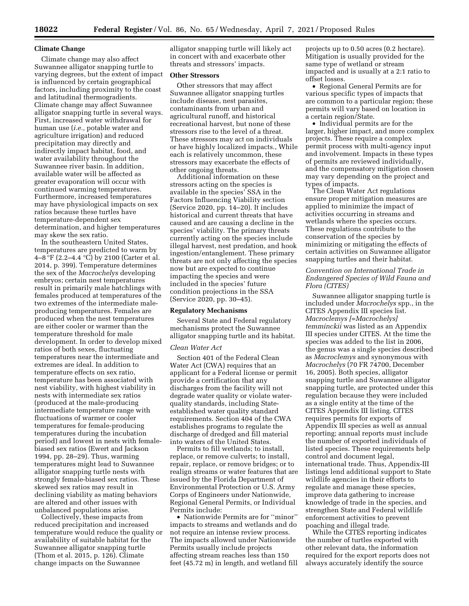### **Climate Change**

Climate change may also affect Suwannee alligator snapping turtle to varying degrees, but the extent of impact is influenced by certain geographical factors, including proximity to the coast and latitudinal thermogradients. Climate change may affect Suwannee alligator snapping turtle in several ways. First, increased water withdrawal for human use (*i.e.,* potable water and agriculture irrigation) and reduced precipitation may directly and indirectly impact habitat, food, and water availability throughout the Suwannee river basin. In addition, available water will be affected as greater evaporation will occur with continued warming temperatures. Furthermore, increased temperatures may have physiological impacts on sex ratios because these turtles have temperature-dependent sex determination, and higher temperatures may skew the sex ratio.

In the southeastern United States, temperatures are predicted to warm by 4–8 °F (2.2–4.4 °C) by 2100 (Carter et al. 2014, p. 399). Temperature determines the sex of the *Macrochelys* developing embryos; certain nest temperatures result in primarily male hatchlings with females produced at temperatures of the two extremes of the intermediate maleproducing temperatures. Females are produced when the nest temperatures are either cooler or warmer than the temperature threshold for male development. In order to develop mixed ratios of both sexes, fluctuating temperatures near the intermediate and extremes are ideal. In addition to temperature effects on sex ratio, temperature has been associated with nest viability, with highest viability in nests with intermediate sex ratios (produced at the male-producing intermediate temperature range with fluctuations of warmer or cooler temperatures for female-producing temperatures during the incubation period) and lowest in nests with femalebiased sex ratios (Ewert and Jackson 1994, pp. 28–29). Thus, warming temperatures might lead to Suwannee alligator snapping turtle nests with strongly female-biased sex ratios. These skewed sex ratios may result in declining viability as mating behaviors are altered and other issues with unbalanced populations arise.

Collectively, these impacts from reduced precipitation and increased temperature would reduce the quality or availability of suitable habitat for the Suwannee alligator snapping turtle (Thom et al. 2015, p. 126). Climate change impacts on the Suwannee

alligator snapping turtle will likely act in concert with and exacerbate other threats and stressors' impacts.

### **Other Stressors**

Other stressors that may affect Suwannee alligator snapping turtles include disease, nest parasites, contaminants from urban and agricultural runoff, and historical recreational harvest, but none of these stressors rise to the level of a threat. These stressors may act on individuals or have highly localized impacts., While each is relatively uncommon, these stressors may exacerbate the effects of other ongoing threats.

Additional information on these stressors acting on the species is available in the species' SSA in the Factors Influencing Viability section (Service 2020, pp. 14–20). It includes historical and current threats that have caused and are causing a decline in the species' viability. The primary threats currently acting on the species include illegal harvest, nest predation, and hook ingestion/entanglement. These primary threats are not only affecting the species now but are expected to continue impacting the species and were included in the species' future condition projections in the SSA (Service 2020, pp. 30–45).

# **Regulatory Mechanisms**

Several State and Federal regulatory mechanisms protect the Suwannee alligator snapping turtle and its habitat.

#### *Clean Water Act*

Section 401 of the Federal Clean Water Act (CWA) requires that an applicant for a Federal license or permit provide a certification that any discharges from the facility will not degrade water quality or violate waterquality standards, including Stateestablished water quality standard requirements. Section 404 of the CWA establishes programs to regulate the discharge of dredged and fill material into waters of the United States.

Permits to fill wetlands; to install, replace, or remove culverts; to install, repair, replace, or remove bridges; or to realign streams or water features that are issued by the Florida Department of Environmental Protection or U.S. Army Corps of Engineers under Nationwide, Regional General Permits, or Individual Permits include:

• Nationwide Permits are for ''minor'' impacts to streams and wetlands and do not require an intense review process. The impacts allowed under Nationwide Permits usually include projects affecting stream reaches less than 150 feet (45.72 m) in length, and wetland fill

projects up to 0.50 acres (0.2 hectare). Mitigation is usually provided for the same type of wetland or stream impacted and is usually at a 2:1 ratio to offset losses.

• Regional General Permits are for various specific types of impacts that are common to a particular region; these permits will vary based on location in a certain region/State.

• Individual permits are for the larger, higher impact, and more complex projects. These require a complex permit process with multi-agency input and involvement. Impacts in these types of permits are reviewed individually, and the compensatory mitigation chosen may vary depending on the project and types of impacts.

The Clean Water Act regulations ensure proper mitigation measures are applied to minimize the impact of activities occurring in streams and wetlands where the species occurs. These regulations contribute to the conservation of the species by minimizing or mitigating the effects of certain activities on Suwannee alligator snapping turtles and their habitat.

# *Convention on International Trade in Endangered Species of Wild Fauna and Flora (CITES)*

Suwannee alligator snapping turtle is included under *Macrochelys* spp., in the CITES Appendix III species list. *Macroclemys [=Macrochelys] temminckii* was listed as an Appendix III species under CITES. At the time the species was added to the list in 2006, the genus was a single species described as *Macroclemys* and synonymous with *Macrochelys* (70 FR 74700, December 16, 2005). Both species, alligator snapping turtle and Suwannee alligator snapping turtle, are protected under this regulation because they were included as a single entity at the time of the CITES Appendix III listing. CITES requires permits for exports of Appendix III species as well as annual reporting; annual reports must include the number of exported individuals of listed species. These requirements help control and document legal, international trade. Thus, Appendix-III listings lend additional support to State wildlife agencies in their efforts to regulate and manage these species, improve data gathering to increase knowledge of trade in the species, and strengthen State and Federal wildlife enforcement activities to prevent poaching and illegal trade.

While the CITES reporting indicates the number of turtles exported with other relevant data, the information required for the export reports does not always accurately identify the source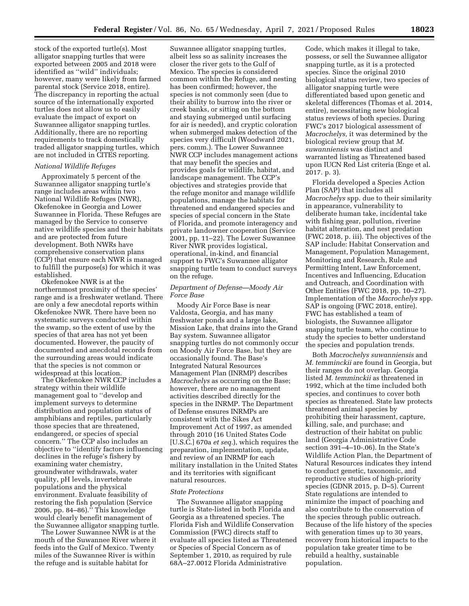stock of the exported turtle(s). Most alligator snapping turtles that were exported between 2005 and 2018 were identified as ''wild'' individuals; however, many were likely from farmed parental stock (Service 2018, entire). The discrepancy in reporting the actual source of the internationally exported turtles does not allow us to easily evaluate the impact of export on Suwannee alligator snapping turtles. Additionally, there are no reporting requirements to track domestically traded alligator snapping turtles, which are not included in CITES reporting.

### *National Wildlife Refuges*

Approximately 5 percent of the Suwannee alligator snapping turtle's range includes areas within two National Wildlife Refuges (NWR), Okefenokee in Georgia and Lower Suwannee in Florida. These Refuges are managed by the Service to conserve native wildlife species and their habitats and are protected from future development. Both NWRs have comprehensive conservation plans (CCP) that ensure each NWR is managed to fulfill the purpose(s) for which it was established.

Okefenokee NWR is at the northernmost proximity of the species' range and is a freshwater wetland. There are only a few anecdotal reports within Okefenokee NWR. There have been no systematic surveys conducted within the swamp, so the extent of use by the species of that area has not yet been documented. However, the paucity of documented and anecdotal records from the surrounding areas would indicate that the species is not common or widespread at this location.

The Okefenokee NWR CCP includes a strategy within their wildlife management goal to ''develop and implement surveys to determine distribution and population status of amphibians and reptiles, particularly those species that are threatened, endangered, or species of special concern.'' The CCP also includes an objective to ''identify factors influencing declines in the refuge's fishery by examining water chemistry, groundwater withdrawals, water quality, pH levels, invertebrate populations and the physical environment. Evaluate feasibility of restoring the fish population (Service 2006, pp. 84–86).'' This knowledge would clearly benefit management of the Suwannee alligator snapping turtle.

The Lower Suwannee NWR is at the mouth of the Suwannee River where it feeds into the Gulf of Mexico. Twenty miles of the Suwannee River is within the refuge and is suitable habitat for

Suwannee alligator snapping turtles, albeit less so as salinity increases the closer the river gets to the Gulf of Mexico. The species is considered common within the Refuge, and nesting has been confirmed; however, the species is not commonly seen (due to their ability to burrow into the river or creek banks, or sitting on the bottom and staying submerged until surfacing for air is needed), and cryptic coloration when submerged makes detection of the species very difficult (Woodward 2021, pers. comm.). The Lower Suwannee NWR CCP includes management actions that may benefit the species and provides goals for wildlife, habitat, and landscape management. The CCP's objectives and strategies provide that the refuge monitor and manage wildlife populations, manage the habitats for threatened and endangered species and species of special concern in the State of Florida, and promote interagency and private landowner cooperation (Service 2001, pp. 11–22). The Lower Suwannee River NWR provides logistical, operational, in-kind, and financial support to FWC's Suwannee alligator snapping turtle team to conduct surveys on the refuge.

# *Department of Defense—Moody Air Force Base*

Moody Air Force Base is near Valdosta, Georgia, and has many freshwater ponds and a large lake, Mission Lake, that drains into the Grand Bay system. Suwannee alligator snapping turtles do not commonly occur on Moody Air Force Base, but they are occasionally found. The Base's Integrated Natural Resources Management Plan (INRMP) describes *Macrochelys* as occurring on the Base; however, there are no management activities described directly for the species in the INRMP. The Department of Defense ensures INRMPs are consistent with the Sikes Act Improvement Act of 1997, as amended through 2010 (16 United States Code [U.S.C.] 670a *et seq.*), which requires the preparation, implementation, update, and review of an INRMP for each military installation in the United States and its territories with significant natural resources.

### *State Protections*

The Suwannee alligator snapping turtle is State-listed in both Florida and Georgia as a threatened species. The Florida Fish and Wildlife Conservation Commission (FWC) directs staff to evaluate all species listed as Threatened or Species of Special Concern as of September 1, 2010, as required by rule 68A–27.0012 Florida Administrative

Code, which makes it illegal to take, possess, or sell the Suwannee alligator snapping turtle, as it is a protected species. Since the original 2010 biological status review, two species of alligator snapping turtle were differentiated based upon genetic and skeletal differences (Thomas et al. 2014, entire), necessitating new biological status reviews of both species. During FWC's 2017 biological assessment of *Macrochelys,* it was determined by the biological review group that *M. suwanniensis* was distinct and warranted listing as Threatened based upon IUCN Red List criteria (Enge et al. 2017. p. 3).

Florida developed a Species Action Plan (SAP) that includes all *Macrochelys* spp. due to their similarity in appearance, vulnerability to deliberate human take, incidental take with fishing gear, pollution, riverine habitat alteration, and nest predation (FWC 2018, p. iii). The objectives of the SAP include: Habitat Conservation and Management, Population Management, Monitoring and Research, Rule and Permitting Intent, Law Enforcement, Incentives and Influencing, Education and Outreach, and Coordination with Other Entities (FWC 2018, pp. 10–27). Implementation of the *Macrochelys* spp. SAP is ongoing (FWC 2018, entire). FWC has established a team of biologists, the Suwannee alligator snapping turtle team, who continue to study the species to better understand the species and population trends.

Both *Macrochelys suwanniensis* and *M. temminckii* are found in Georgia, but their ranges do not overlap. Georgia listed *M. temminckii* as threatened in 1992, which at the time included both species, and continues to cover both species as threatened. State law protects threatened animal species by prohibiting their harassment, capture, killing, sale, and purchase; and destruction of their habitat on public land (Georgia Administrative Code section 391–4–10-.06). In the State's Wildlife Action Plan, the Department of Natural Resources indicates they intend to conduct genetic, taxonomic, and reproductive studies of high-priority species (GDNR 2015, p. D–5). Current State regulations are intended to minimize the impact of poaching and also contribute to the conservation of the species through public outreach. Because of the life history of the species with generation times up to 30 years, recovery from historical impacts to the population take greater time to be rebuild a healthy, sustainable population.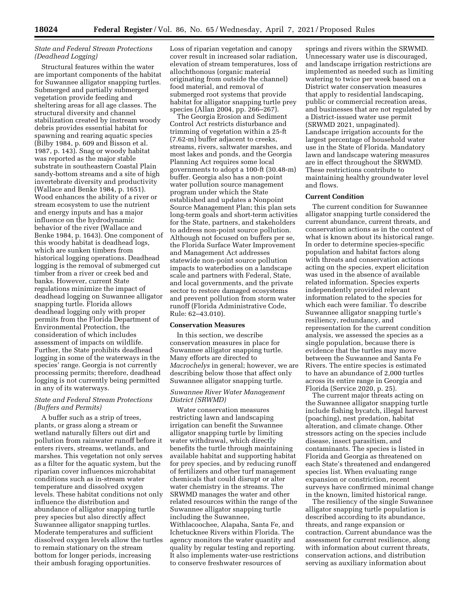# *State and Federal Stream Protections (Deadhead Logging)*

Structural features within the water are important components of the habitat for Suwannee alligator snapping turtles. Submerged and partially submerged vegetation provide feeding and sheltering areas for all age classes. The structural diversity and channel stabilization created by instream woody debris provides essential habitat for spawning and rearing aquatic species (Bilby 1984, p. 609 and Bisson et al. 1987, p. 143). Snag or woody habitat was reported as the major stable substrate in southeastern Coastal Plain sandy-bottom streams and a site of high invertebrate diversity and productivity (Wallace and Benke 1984, p. 1651). Wood enhances the ability of a river or stream ecosystem to use the nutrient and energy inputs and has a major influence on the hydrodynamic behavior of the river (Wallace and Benke 1984, p. 1643). One component of this woody habitat is deadhead logs, which are sunken timbers from historical logging operations. Deadhead logging is the removal of submerged cut timber from a river or creek bed and banks. However, current State regulations minimize the impact of deadhead logging on Suwannee alligator snapping turtle. Florida allows deadhead logging only with proper permits from the Florida Department of Environmental Protection, the consideration of which includes assessment of impacts on wildlife. Further, the State prohibits deadhead logging in some of the waterways in the species' range. Georgia is not currently processing permits; therefore, deadhead logging is not currently being permitted in any of its waterways.

# *State and Federal Stream Protections (Buffers and Permits)*

A buffer such as a strip of trees, plants, or grass along a stream or wetland naturally filters out dirt and pollution from rainwater runoff before it enters rivers, streams, wetlands, and marshes. This vegetation not only serves as a filter for the aquatic system, but the riparian cover influences microhabitat conditions such as in-stream water temperature and dissolved oxygen levels. These habitat conditions not only influence the distribution and abundance of alligator snapping turtle prey species but also directly affect Suwannee alligator snapping turtles. Moderate temperatures and sufficient dissolved oxygen levels allow the turtles to remain stationary on the stream bottom for longer periods, increasing their ambush foraging opportunities.

Loss of riparian vegetation and canopy cover result in increased solar radiation, elevation of stream temperatures, loss of allochthonous (organic material originating from outside the channel) food material, and removal of submerged root systems that provide habitat for alligator snapping turtle prey species (Allan 2004, pp. 266–267).

The Georgia Erosion and Sediment Control Act restricts disturbance and trimming of vegetation within a 25-ft (7.62-m) buffer adjacent to creeks, streams, rivers, saltwater marshes, and most lakes and ponds, and the Georgia Planning Act requires some local governments to adopt a 100-ft (30.48-m) buffer. Georgia also has a non-point water pollution source management program under which the State established and updates a Nonpoint Source Management Plan; this plan sets long-term goals and short-term activities for the State, partners, and stakeholders to address non-point source pollution. Although not focused on buffers per se, the Florida Surface Water Improvement and Management Act addresses statewide non-point source pollution impacts to waterbodies on a landscape scale and partners with Federal, State, and local governments, and the private sector to restore damaged ecosystems and prevent pollution from storm water runoff (Florida Administrative Code, Rule: 62–43.010).

#### **Conservation Measures**

In this section, we describe conservation measures in place for Suwannee alligator snapping turtle. Many efforts are directed to *Macrochelys* in general; however, we are describing below those that affect only Suwannee alligator snapping turtle.

# *Suwannee River Water Management District (SRWMD)*

Water conservation measures restricting lawn and landscaping irrigation can benefit the Suwannee alligator snapping turtle by limiting water withdrawal, which directly benefits the turtle through maintaining available habitat and supporting habitat for prey species, and by reducing runoff of fertilizers and other turf management chemicals that could disrupt or alter water chemistry in the streams. The SRWMD manages the water and other related resources within the range of the Suwannee alligator snapping turtle including the Suwannee, Withlacoochee, Alapaha, Santa Fe, and Ichetucknee Rivers within Florida. The agency monitors the water quantity and quality by regular testing and reporting. It also implements water-use restrictions to conserve freshwater resources of

springs and rivers within the SRWMD. Unnecessary water use is discouraged, and landscape irrigation restrictions are implemented as needed such as limiting watering to twice per week based on a District water conservation measures that apply to residential landscaping, public or commercial recreation areas, and businesses that are not regulated by a District-issued water use permit (SRWMD 2021, unpaginated). Landscape irrigation accounts for the largest percentage of household water use in the State of Florida. Mandatory lawn and landscape watering measures are in effect throughout the SRWMD. These restrictions contribute to maintaining healthy groundwater level and flows.

# **Current Condition**

The current condition for Suwannee alligator snapping turtle considered the current abundance, current threats, and conservation actions as in the context of what is known about its historical range. In order to determine species-specific population and habitat factors along with threats and conservation actions acting on the species, expert elicitation was used in the absence of available related information. Species experts independently provided relevant information related to the species for which each were familiar. To describe Suwannee alligator snapping turtle's resiliency, redundancy, and representation for the current condition analysis, we assessed the species as a single population, because there is evidence that the turtles may move between the Suwannee and Santa Fe Rivers. The entire species is estimated to have an abundance of 2,000 turtles across its entire range in Georgia and Florida (Service 2020, p. 25).

The current major threats acting on the Suwannee alligator snapping turtle include fishing bycatch, illegal harvest (poaching), nest predation, habitat alteration, and climate change. Other stressors acting on the species include disease, insect parasitism, and contaminants. The species is listed in Florida and Georgia as threatened on each State's threatened and endangered species list. When evaluating range expansion or constriction, recent surveys have confirmed minimal change in the known, limited historical range.

The resiliency of the single Suwannee alligator snapping turtle population is described according to its abundance, threats, and range expansion or contraction. Current abundance was the assessment for current resilience, along with information about current threats, conservation actions, and distribution serving as auxiliary information about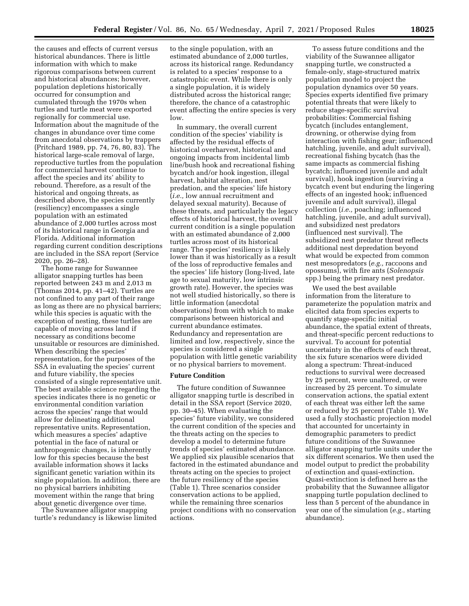the causes and effects of current versus historical abundances. There is little information with which to make rigorous comparisons between current and historical abundances; however, population depletions historically occurred for consumption and cumulated through the 1970s when turtles and turtle meat were exported regionally for commercial use. Information about the magnitude of the changes in abundance over time come from anecdotal observations by trappers (Pritchard 1989, pp. 74, 76, 80, 83). The historical large-scale removal of large, reproductive turtles from the population for commercial harvest continue to affect the species and its' ability to rebound. Therefore, as a result of the historical and ongoing threats, as described above, the species currently (resiliency) encompasses a single population with an estimated abundance of 2,000 turtles across most of its historical range in Georgia and Florida. Additional information regarding current condition descriptions are included in the SSA report (Service 2020, pp. 26–28).

The home range for Suwannee alligator snapping turtles has been reported between 243 m and 2,013 m (Thomas 2014, pp. 41–42). Turtles are not confined to any part of their range as long as there are no physical barriers; while this species is aquatic with the exception of nesting, these turtles are capable of moving across land if necessary as conditions become unsuitable or resources are diminished. When describing the species' representation, for the purposes of the SSA in evaluating the species' current and future viability, the species consisted of a single representative unit. The best available science regarding the species indicates there is no genetic or environmental condition variation across the species' range that would allow for delineating additional representative units. Representation, which measures a species' adaptive potential in the face of natural or anthropogenic changes, is inherently low for this species because the best available information shows it lacks significant genetic variation within its single population. In addition, there are no physical barriers inhibiting movement within the range that bring about genetic divergence over time.

The Suwannee alligator snapping turtle's redundancy is likewise limited to the single population, with an estimated abundance of 2,000 turtles, across its historical range. Redundancy is related to a species' response to a catastrophic event. While there is only a single population, it is widely distributed across the historical range; therefore, the chance of a catastrophic event affecting the entire species is very low.

In summary, the overall current condition of the species' viability is affected by the residual effects of historical overharvest, historical and ongoing impacts from incidental limb line/bush hook and recreational fishing bycatch and/or hook ingestion, illegal harvest, habitat alteration, nest predation, and the species' life history (*i.e.,* low annual recruitment and delayed sexual maturity). Because of these threats, and particularly the legacy effects of historical harvest, the overall current condition is a single population with an estimated abundance of 2,000 turtles across most of its historical range. The species' resiliency is likely lower than it was historically as a result of the loss of reproductive females and the species' life history (long-lived, late age to sexual maturity, low intrinsic growth rate). However, the species was not well studied historically, so there is little information (anecdotal observations) from with which to make comparisons between historical and current abundance estimates. Redundancy and representation are limited and low, respectively, since the species is considered a single population with little genetic variability or no physical barriers to movement.

### **Future Condition**

The future condition of Suwannee alligator snapping turtle is described in detail in the SSA report (Service 2020, pp. 30–45). When evaluating the species' future viability, we considered the current condition of the species and the threats acting on the species to develop a model to determine future trends of species' estimated abundance. We applied six plausible scenarios that factored in the estimated abundance and threats acting on the species to project the future resiliency of the species (Table 1). Three scenarios consider conservation actions to be applied, while the remaining three scenarios project conditions with no conservation actions.

To assess future conditions and the viability of the Suwannee alligator snapping turtle, we constructed a female-only, stage-structured matrix population model to project the population dynamics over 50 years. Species experts identified five primary potential threats that were likely to reduce stage-specific survival probabilities: Commercial fishing bycatch (includes entanglement, drowning, or otherwise dying from interaction with fishing gear; influenced hatchling, juvenile, and adult survival), recreational fishing bycatch (has the same impacts as commercial fishing bycatch; influenced juvenile and adult survival), hook ingestion (surviving a bycatch event but enduring the lingering effects of an ingested hook; influenced juvenile and adult survival), illegal collection (*i.e.,* poaching; influenced hatchling, juvenile, and adult survival), and subsidized nest predators (influenced nest survival). The subsidized nest predator threat reflects additional nest depredation beyond what would be expected from common nest mesopredators (*e.g.,* raccoons and opossums), with fire ants (*Solenopsis*  spp.) being the primary nest predator.

We used the best available information from the literature to parameterize the population matrix and elicited data from species experts to quantify stage-specific initial abundance, the spatial extent of threats, and threat-specific percent reductions to survival. To account for potential uncertainty in the effects of each threat, the six future scenarios were divided along a spectrum: Threat-induced reductions to survival were decreased by 25 percent, were unaltered, or were increased by 25 percent. To simulate conservation actions, the spatial extent of each threat was either left the same or reduced by 25 percent (Table 1). We used a fully stochastic projection model that accounted for uncertainty in demographic parameters to predict future conditions of the Suwannee alligator snapping turtle units under the six different scenarios. We then used the model output to predict the probability of extinction and quasi-extinction. Quasi-extinction is defined here as the probability that the Suwannee alligator snapping turtle population declined to less than 5 percent of the abundance in year one of the simulation (*e.g.,* starting abundance).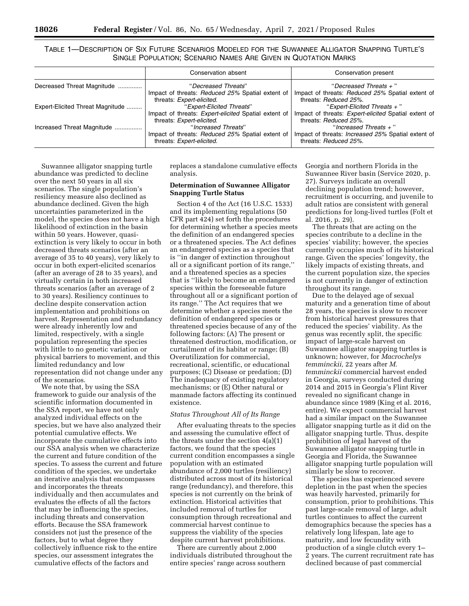TABLE 1—DESCRIPTION OF SIX FUTURE SCENARIOS MODELED FOR THE SUWANNEE ALLIGATOR SNAPPING TURTLE'S SINGLE POPULATION; SCENARIO NAMES ARE GIVEN IN QUOTATION MARKS

|                                  | Conservation absent                                                                                            | Conservation present                                                                                                   |
|----------------------------------|----------------------------------------------------------------------------------------------------------------|------------------------------------------------------------------------------------------------------------------------|
| Decreased Threat Magnitude       | "Decreased Threats"<br>Impact of threats: Reduced 25% Spatial extent of<br>threats: Expert-elicited.           | "Decreased Threats $+$ "<br>Impact of threats: Reduced 25% Spatial extent of<br>threats: Reduced 25%.                  |
| Expert-Elicited Threat Magnitude | "Expert-Elicited Threats"<br>Impact of threats: Expert-elicited Spatial extent of<br>threats: Expert-elicited. | "Expert-Elicited Threats $+$ "<br>Impact of threats: <i>Expert-elicited</i> Spatial extent of<br>threats: Reduced 25%. |
| Increased Threat Magnitude       | "Increased Threats"<br>Impact of threats: Reduced 25% Spatial extent of<br>threats: Expert-elicited.           | "Increased Threats $+$ "<br>Impact of threats: <i>Increased 25%</i> Spatial extent of<br>threats: Reduced 25%.         |

Suwannee alligator snapping turtle abundance was predicted to decline over the next 50 years in all six scenarios. The single population's resiliency measure also declined as abundance declined. Given the high uncertainties parameterized in the model, the species does not have a high likelihood of extinction in the basin within 50 years. However, quasiextinction is very likely to occur in both decreased threats scenarios (after an average of 35 to 40 years), very likely to occur in both expert-elicited scenarios (after an average of 28 to 35 years), and virtually certain in both increased threats scenarios (after an average of 2 to 30 years). Resiliency continues to decline despite conservation action implementation and prohibitions on harvest. Representation and redundancy were already inherently low and limited, respectively, with a single population representing the species with little to no genetic variation or physical barriers to movement, and this limited redundancy and low representation did not change under any of the scenarios.

We note that, by using the SSA framework to guide our analysis of the scientific information documented in the SSA report, we have not only analyzed individual effects on the species, but we have also analyzed their potential cumulative effects. We incorporate the cumulative effects into our SSA analysis when we characterize the current and future condition of the species. To assess the current and future condition of the species, we undertake an iterative analysis that encompasses and incorporates the threats individually and then accumulates and evaluates the effects of all the factors that may be influencing the species, including threats and conservation efforts. Because the SSA framework considers not just the presence of the factors, but to what degree they collectively influence risk to the entire species, our assessment integrates the cumulative effects of the factors and

replaces a standalone cumulative effects analysis.

# **Determination of Suwannee Alligator Snapping Turtle Status**

Section 4 of the Act (16 U.S.C. 1533) and its implementing regulations (50 CFR part 424) set forth the procedures for determining whether a species meets the definition of an endangered species or a threatened species. The Act defines an endangered species as a species that is ''in danger of extinction throughout all or a significant portion of its range,'' and a threatened species as a species that is ''likely to become an endangered species within the foreseeable future throughout all or a significant portion of its range.'' The Act requires that we determine whether a species meets the definition of endangered species or threatened species because of any of the following factors: (A) The present or threatened destruction, modification, or curtailment of its habitat or range; (B) Overutilization for commercial, recreational, scientific, or educational purposes; (C) Disease or predation; (D) The inadequacy of existing regulatory mechanisms; or (E) Other natural or manmade factors affecting its continued existence.

# *Status Throughout All of Its Range*

After evaluating threats to the species and assessing the cumulative effect of the threats under the section 4(a)(1) factors, we found that the species current condition encompasses a single population with an estimated abundance of 2,000 turtles (resiliency) distributed across most of its historical range (redundancy), and therefore, this species is not currently on the brink of extinction. Historical activities that included removal of turtles for consumption through recreational and commercial harvest continue to suppress the viability of the species despite current harvest prohibitions.

There are currently about 2,000 individuals distributed throughout the entire species' range across southern

Georgia and northern Florida in the Suwannee River basin (Service 2020, p. 27). Surveys indicate an overall declining population trend; however, recruitment is occurring, and juvenile to adult ratios are consistent with general predictions for long-lived turtles (Folt et al. 2016, p. 29).

The threats that are acting on the species contribute to a decline in the species' viability; however, the species currently occupies much of its historical range. Given the species' longevity, the likely impacts of existing threats, and the current population size, the species is not currently in danger of extinction throughout its range.

Due to the delayed age of sexual maturity and a generation time of about 28 years, the species is slow to recover from historical harvest pressures that reduced the species' viability. As the genus was recently split, the specific impact of large-scale harvest on Suwannee alligator snapping turtles is unknown; however, for *Macrochelys temminckii,* 22 years after *M. temminckii* commercial harvest ended in Georgia, surveys conducted during 2014 and 2015 in Georgia's Flint River revealed no significant change in abundance since 1989 (King et al. 2016, entire). We expect commercial harvest had a similar impact on the Suwannee alligator snapping turtle as it did on the alligator snapping turtle. Thus, despite prohibition of legal harvest of the Suwannee alligator snapping turtle in Georgia and Florida, the Suwannee alligator snapping turtle population will similarly be slow to recover.

The species has experienced severe depletion in the past when the species was heavily harvested, primarily for consumption, prior to prohibitions. This past large-scale removal of large, adult turtles continues to affect the current demographics because the species has a relatively long lifespan, late age to maturity, and low fecundity with production of a single clutch every 1– 2 years. The current recruitment rate has declined because of past commercial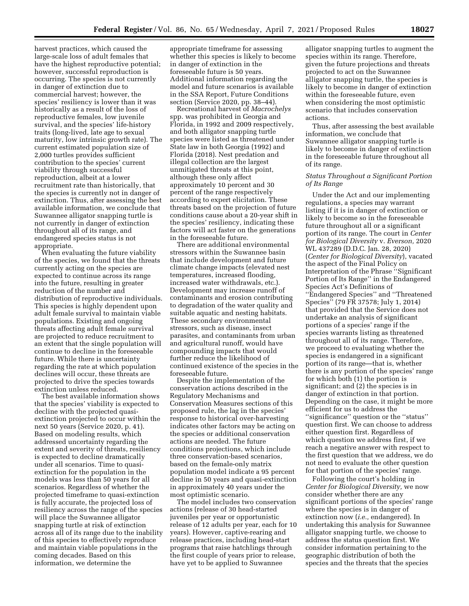harvest practices, which caused the large-scale loss of adult females that have the highest reproductive potential; however, successful reproduction is occurring. The species is not currently in danger of extinction due to commercial harvest; however, the species' resiliency is lower than it was historically as a result of the loss of reproductive females, low juvenile survival, and the species' life-history traits (long-lived, late age to sexual maturity, low intrinsic growth rate). The current estimated population size of 2,000 turtles provides sufficient contribution to the species' current viability through successful reproduction, albeit at a lower recruitment rate than historically, that the species is currently not in danger of extinction. Thus, after assessing the best available information, we conclude that Suwannee alligator snapping turtle is not currently in danger of extinction throughout all of its range, and endangered species status is not appropriate.

When evaluating the future viability of the species, we found that the threats currently acting on the species are expected to continue across its range into the future, resulting in greater reduction of the number and distribution of reproductive individuals. This species is highly dependent upon adult female survival to maintain viable populations. Existing and ongoing threats affecting adult female survival are projected to reduce recruitment to an extent that the single population will continue to decline in the foreseeable future. While there is uncertainty regarding the rate at which population declines will occur, these threats are projected to drive the species towards extinction unless reduced.

The best available information shows that the species' viability is expected to decline with the projected quasiextinction projected to occur within the next 50 years (Service 2020, p. 41). Based on modeling results, which addressed uncertainty regarding the extent and severity of threats, resiliency is expected to decline dramatically under all scenarios. Time to quasiextinction for the population in the models was less than 50 years for all scenarios. Regardless of whether the projected timeframe to quasi-extinction is fully accurate, the projected loss of resiliency across the range of the species will place the Suwannee alligator snapping turtle at risk of extinction across all of its range due to the inability of this species to effectively reproduce and maintain viable populations in the coming decades. Based on this information, we determine the

appropriate timeframe for assessing whether this species is likely to become in danger of extinction in the foreseeable future is 50 years. Additional information regarding the model and future scenarios is available in the SSA Report, Future Conditions section (Service 2020, pp. 38–44).

Recreational harvest of *Macrochelys*  spp. was prohibited in Georgia and Florida, in 1992 and 2009 respectively, and both alligator snapping turtle species were listed as threatened under State law in both Georgia (1992) and Florida (2018). Nest predation and illegal collection are the largest unmitigated threats at this point, although these only affect approximately 10 percent and 30 percent of the range respectively according to expert elicitation. These threats based on the projection of future conditions cause about a 20-year shift in the species' resiliency, indicating these factors will act faster on the generations in the foreseeable future.

There are additional environmental stressors within the Suwannee basin that include development and future climate change impacts (elevated nest temperatures, increased flooding, increased water withdrawals, etc.). Development may increase runoff of contaminants and erosion contributing to degradation of the water quality and suitable aquatic and nesting habitats. These secondary environmental stressors, such as disease, insect parasites, and contaminants from urban and agricultural runoff, would have compounding impacts that would further reduce the likelihood of continued existence of the species in the foreseeable future.

Despite the implementation of the conservation actions described in the Regulatory Mechanisms and Conservation Measures sections of this proposed rule, the lag in the species' response to historical over-harvesting indicates other factors may be acting on the species or additional conservation actions are needed. The future conditions projections, which include three conservation-based scenarios, based on the female-only matrix population model indicate a 95 percent decline in 50 years and quasi-extinction in approximately 40 years under the most optimistic scenario.

The model includes two conservation actions (release of 30 head-started juveniles per year or opportunistic release of 12 adults per year, each for 10 years). However, captive-rearing and release practices, including head-start programs that raise hatchlings through the first couple of years prior to release, have yet to be applied to Suwannee

alligator snapping turtles to augment the species within its range. Therefore, given the future projections and threats projected to act on the Suwannee alligator snapping turtle, the species is likely to become in danger of extinction within the foreseeable future, even when considering the most optimistic scenario that includes conservation actions.

Thus, after assessing the best available information, we conclude that Suwannee alligator snapping turtle is likely to become in danger of extinction in the foreseeable future throughout all of its range.

# *Status Throughout a Significant Portion of Its Range*

Under the Act and our implementing regulations, a species may warrant listing if it is in danger of extinction or likely to become so in the foreseeable future throughout all or a significant portion of its range. The court in *Center for Biological Diversity* v. *Everson,* 2020 WL 437289 (D.D.C. Jan. 28, 2020) (*Center for Biological Diversity*), vacated the aspect of the Final Policy on Interpretation of the Phrase ''Significant Portion of Its Range'' in the Endangered Species Act's Definitions of ''Endangered Species'' and ''Threatened Species'' (79 FR 37578; July 1, 2014) that provided that the Service does not undertake an analysis of significant portions of a species' range if the species warrants listing as threatened throughout all of its range. Therefore, we proceed to evaluating whether the species is endangered in a significant portion of its range—that is, whether there is any portion of the species' range for which both (1) the portion is significant; and (2) the species is in danger of extinction in that portion. Depending on the case, it might be more efficient for us to address the ''significance'' question or the ''status'' question first. We can choose to address either question first. Regardless of which question we address first, if we reach a negative answer with respect to the first question that we address, we do not need to evaluate the other question for that portion of the species' range.

Following the court's holding in *Center for Biological Diversity,* we now consider whether there are any significant portions of the species' range where the species is in danger of extinction now (*i.e.,* endangered). In undertaking this analysis for Suwannee alligator snapping turtle, we choose to address the status question first. We consider information pertaining to the geographic distribution of both the species and the threats that the species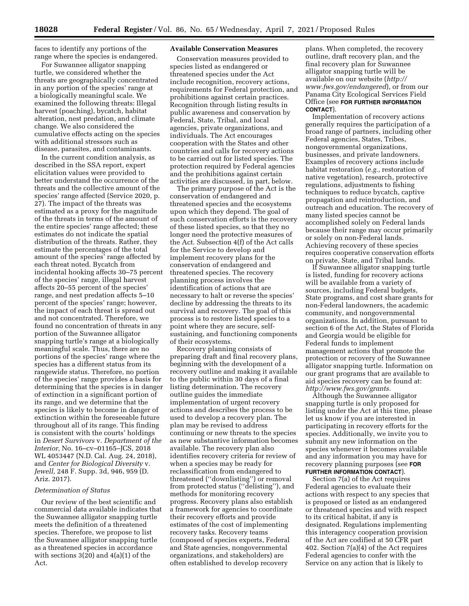faces to identify any portions of the range where the species is endangered.

For Suwannee alligator snapping turtle, we considered whether the threats are geographically concentrated in any portion of the species' range at a biologically meaningful scale. We examined the following threats: Illegal harvest (poaching), bycatch, habitat alteration, nest predation, and climate change. We also considered the cumulative effects acting on the species with additional stressors such as disease, parasites, and contaminants.

In the current condition analysis, as described in the SSA report, expert elicitation values were provided to better understand the occurrence of the threats and the collective amount of the species' range affected (Service 2020, p. 27). The impact of the threats was estimated as a proxy for the magnitude of the threats in terms of the amount of the entire species' range affected; these estimates do not indicate the spatial distribution of the threats. Rather, they estimate the percentages of the total amount of the species' range affected by each threat noted. Bycatch from incidental hooking affects 30–75 percent of the species' range, illegal harvest affects 20–55 percent of the species' range, and nest predation affects 5–10 percent of the species' range; however, the impact of each threat is spread out and not concentrated. Therefore, we found no concentration of threats in any portion of the Suwannee alligator snapping turtle's range at a biologically meaningful scale. Thus, there are no portions of the species' range where the species has a different status from its rangewide status. Therefore, no portion of the species' range provides a basis for determining that the species is in danger of extinction in a significant portion of its range, and we determine that the species is likely to become in danger of extinction within the foreseeable future throughout all of its range. This finding is consistent with the courts' holdings in *Desert Survivors* v. *Department of the Interior,* No. 16–cv–01165–JCS, 2018 WL 4053447 (N.D. Cal. Aug. 24, 2018), and *Center for Biological Diversity* v*. Jewell,* 248 F. Supp. 3d, 946, 959 (D. Ariz. 2017).

### *Determination of Status*

Our review of the best scientific and commercial data available indicates that the Suwannee alligator snapping turtle meets the definition of a threatened species. Therefore, we propose to list the Suwannee alligator snapping turtle as a threatened species in accordance with sections  $3(20)$  and  $4(a)(1)$  of the Act.

# **Available Conservation Measures**

Conservation measures provided to species listed as endangered or threatened species under the Act include recognition, recovery actions, requirements for Federal protection, and prohibitions against certain practices. Recognition through listing results in public awareness and conservation by Federal, State, Tribal, and local agencies, private organizations, and individuals. The Act encourages cooperation with the States and other countries and calls for recovery actions to be carried out for listed species. The protection required by Federal agencies and the prohibitions against certain activities are discussed, in part, below.

The primary purpose of the Act is the conservation of endangered and threatened species and the ecosystems upon which they depend. The goal of such conservation efforts is the recovery of these listed species, so that they no longer need the protective measures of the Act. Subsection 4(f) of the Act calls for the Service to develop and implement recovery plans for the conservation of endangered and threatened species. The recovery planning process involves the identification of actions that are necessary to halt or reverse the species' decline by addressing the threats to its survival and recovery. The goal of this process is to restore listed species to a point where they are secure, selfsustaining, and functioning components of their ecosystems.

Recovery planning consists of preparing draft and final recovery plans, beginning with the development of a recovery outline and making it available to the public within 30 days of a final listing determination. The recovery outline guides the immediate implementation of urgent recovery actions and describes the process to be used to develop a recovery plan. The plan may be revised to address continuing or new threats to the species as new substantive information becomes available. The recovery plan also identifies recovery criteria for review of when a species may be ready for reclassification from endangered to threatened (''downlisting'') or removal from protected status (''delisting''), and methods for monitoring recovery progress. Recovery plans also establish a framework for agencies to coordinate their recovery efforts and provide estimates of the cost of implementing recovery tasks. Recovery teams (composed of species experts, Federal and State agencies, nongovernmental organizations, and stakeholders) are often established to develop recovery

plans. When completed, the recovery outline, draft recovery plan, and the final recovery plan for Suwannee alligator snapping turtle will be available on our website (*[http://](http://www.fws.gov/endangered) [www.fws.gov/endangered](http://www.fws.gov/endangered)*), or from our Panama City Ecological Services Field Office (see **FOR FURTHER INFORMATION CONTACT**).

Implementation of recovery actions generally requires the participation of a broad range of partners, including other Federal agencies, States, Tribes, nongovernmental organizations, businesses, and private landowners. Examples of recovery actions include habitat restoration (*e.g.,* restoration of native vegetation), research, protective regulations, adjustments to fishing techniques to reduce bycatch, captive propagation and reintroduction, and outreach and education. The recovery of many listed species cannot be accomplished solely on Federal lands because their range may occur primarily or solely on non-Federal lands. Achieving recovery of these species requires cooperative conservation efforts on private, State, and Tribal lands.

If Suwannee alligator snapping turtle is listed, funding for recovery actions will be available from a variety of sources, including Federal budgets, State programs, and cost share grants for non-Federal landowners, the academic community, and nongovernmental organizations. In addition, pursuant to section 6 of the Act, the States of Florida and Georgia would be eligible for Federal funds to implement management actions that promote the protection or recovery of the Suwannee alligator snapping turtle. Information on our grant programs that are available to aid species recovery can be found at: *[http://www.fws.gov/grants.](http://www.fws.gov/grants)* 

Although the Suwannee alligator snapping turtle is only proposed for listing under the Act at this time, please let us know if you are interested in participating in recovery efforts for the species. Additionally, we invite you to submit any new information on the species whenever it becomes available and any information you may have for recovery planning purposes (see **FOR FURTHER INFORMATION CONTACT**).

Section 7(a) of the Act requires Federal agencies to evaluate their actions with respect to any species that is proposed or listed as an endangered or threatened species and with respect to its critical habitat, if any is designated. Regulations implementing this interagency cooperation provision of the Act are codified at 50 CFR part 402. Section 7(a)(4) of the Act requires Federal agencies to confer with the Service on any action that is likely to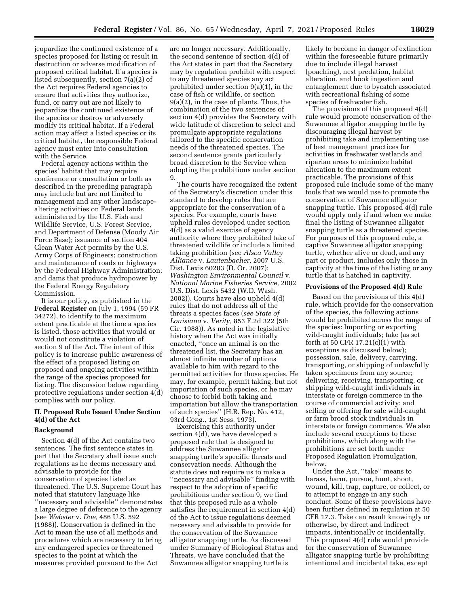jeopardize the continued existence of a species proposed for listing or result in destruction or adverse modification of proposed critical habitat. If a species is listed subsequently, section 7(a)(2) of the Act requires Federal agencies to ensure that activities they authorize, fund, or carry out are not likely to jeopardize the continued existence of the species or destroy or adversely modify its critical habitat. If a Federal action may affect a listed species or its critical habitat, the responsible Federal agency must enter into consultation with the Service.

Federal agency actions within the species' habitat that may require conference or consultation or both as described in the preceding paragraph may include but are not limited to management and any other landscapealtering activities on Federal lands administered by the U.S. Fish and Wildlife Service, U.S. Forest Service, and Department of Defense (Moody Air Force Base); issuance of section 404 Clean Water Act permits by the U.S. Army Corps of Engineers; construction and maintenance of roads or highways by the Federal Highway Administration; and dams that produce hydropower by the Federal Energy Regulatory Commission.

It is our policy, as published in the **Federal Register** on July 1, 1994 (59 FR 34272), to identify to the maximum extent practicable at the time a species is listed, those activities that would or would not constitute a violation of section 9 of the Act. The intent of this policy is to increase public awareness of the effect of a proposed listing on proposed and ongoing activities within the range of the species proposed for listing. The discussion below regarding protective regulations under section 4(d) complies with our policy.

# **II. Proposed Rule Issued Under Section 4(d) of the Act**

### **Background**

Section 4(d) of the Act contains two sentences. The first sentence states in part that the Secretary shall issue such regulations as he deems necessary and advisable to provide for the conservation of species listed as threatened. The U.S. Supreme Court has noted that statutory language like ''necessary and advisable'' demonstrates a large degree of deference to the agency (see *Webster* v. *Doe,* 486 U.S. 592 (1988)). Conservation is defined in the Act to mean the use of all methods and procedures which are necessary to bring any endangered species or threatened species to the point at which the measures provided pursuant to the Act

are no longer necessary. Additionally, the second sentence of section 4(d) of the Act states in part that the Secretary may by regulation prohibit with respect to any threatened species any act prohibited under section 9(a)(1), in the case of fish or wildlife, or section 9(a)(2), in the case of plants. Thus, the combination of the two sentences of section 4(d) provides the Secretary with wide latitude of discretion to select and promulgate appropriate regulations tailored to the specific conservation needs of the threatened species. The second sentence grants particularly broad discretion to the Service when adopting the prohibitions under section 9.

The courts have recognized the extent of the Secretary's discretion under this standard to develop rules that are appropriate for the conservation of a species. For example, courts have upheld rules developed under section 4(d) as a valid exercise of agency authority where they prohibited take of threatened wildlife or include a limited taking prohibition (see *Alsea Valley Alliance* v. *Lautenbacher,* 2007 U.S. Dist. Lexis 60203 (D. Or. 2007); *Washington Environmental Council* v. *National Marine Fisheries Service,* 2002 U.S. Dist. Lexis 5432 (W.D. Wash. 2002)). Courts have also upheld 4(d) rules that do not address all of the threats a species faces (*see State of Louisiana* v. *Verity,* 853 F.2d 322 (5th Cir. 1988)). As noted in the legislative history when the Act was initially enacted, ''once an animal is on the threatened list, the Secretary has an almost infinite number of options available to him with regard to the permitted activities for those species. He may, for example, permit taking, but not importation of such species, or he may choose to forbid both taking and importation but allow the transportation of such species'' (H.R. Rep. No. 412, 93rd Cong., 1st Sess. 1973).

Exercising this authority under section 4(d), we have developed a proposed rule that is designed to address the Suwannee alligator snapping turtle's specific threats and conservation needs. Although the statute does not require us to make a ''necessary and advisable'' finding with respect to the adoption of specific prohibitions under section 9, we find that this proposed rule as a whole satisfies the requirement in section 4(d) of the Act to issue regulations deemed necessary and advisable to provide for the conservation of the Suwannee alligator snapping turtle. As discussed under Summary of Biological Status and Threats, we have concluded that the Suwannee alligator snapping turtle is

likely to become in danger of extinction within the foreseeable future primarily due to include illegal harvest (poaching), nest predation, habitat alteration, and hook ingestion and entanglement due to bycatch associated with recreational fishing of some species of freshwater fish.

The provisions of this proposed 4(d) rule would promote conservation of the Suwannee alligator snapping turtle by discouraging illegal harvest by prohibiting take and implementing use of best management practices for activities in freshwater wetlands and riparian areas to minimize habitat alteration to the maximum extent practicable. The provisions of this proposed rule include some of the many tools that we would use to promote the conservation of Suwannee alligator snapping turtle. This proposed 4(d) rule would apply only if and when we make final the listing of Suwannee alligator snapping turtle as a threatened species. For purposes of this proposed rule, a captive Suwannee alligator snapping turtle, whether alive or dead, and any part or product, includes only those in captivity at the time of the listing or any turtle that is hatched in captivity.

### **Provisions of the Proposed 4(d) Rule**

Based on the provisions of this 4(d) rule, which provide for the conservation of the species, the following actions would be prohibited across the range of the species: Importing or exporting wild-caught individuals; take (as set forth at 50 CFR 17.21(c)(1) with exceptions as discussed below); possession, sale, delivery, carrying, transporting, or shipping of unlawfully taken specimens from any source; delivering, receiving, transporting, or shipping wild-caught individuals in interstate or foreign commerce in the course of commercial activity; and selling or offering for sale wild-caught or farm brood stock individuals in interstate or foreign commerce. We also include several exceptions to these prohibitions, which along with the prohibitions are set forth under Proposed Regulation Promulgation, below.

Under the Act, ''take'' means to harass, harm, pursue, hunt, shoot, wound, kill, trap, capture, or collect, or to attempt to engage in any such conduct. Some of these provisions have been further defined in regulation at 50 CFR 17.3. Take can result knowingly or otherwise, by direct and indirect impacts, intentionally or incidentally. This proposed 4(d) rule would provide for the conservation of Suwannee alligator snapping turtle by prohibiting intentional and incidental take, except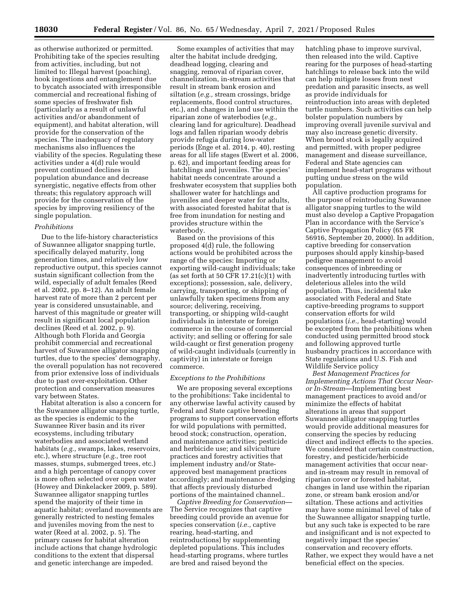as otherwise authorized or permitted. Prohibiting take of the species resulting from activities, including, but not limited to: Illegal harvest (poaching), hook ingestions and entanglement due to bycatch associated with irresponsible commercial and recreational fishing of some species of freshwater fish (particularly as a result of unlawful activities and/or abandonment of equipment), and habitat alteration, will provide for the conservation of the species. The inadequacy of regulatory mechanisms also influences the viability of the species. Regulating these activities under a 4(d) rule would prevent continued declines in population abundance and decrease synergistic, negative effects from other threats; this regulatory approach will provide for the conservation of the species by improving resiliency of the single population.

# *Prohibitions*

Due to the life-history characteristics of Suwannee alligator snapping turtle, specifically delayed maturity, long generation times, and relatively low reproductive output, this species cannot sustain significant collection from the wild, especially of adult females (Reed et al. 2002, pp. 8–12). An adult female harvest rate of more than 2 percent per year is considered unsustainable, and harvest of this magnitude or greater will result in significant local population declines (Reed et al. 2002, p. 9). Although both Florida and Georgia prohibit commercial and recreational harvest of Suwannee alligator snapping turtles, due to the species' demography, the overall population has not recovered from prior extensive loss of individuals due to past over-exploitation. Other protection and conservation measures vary between States.

Habitat alteration is also a concern for the Suwannee alligator snapping turtle, as the species is endemic to the Suwannee River basin and its river ecosystems, including tributary waterbodies and associated wetland habitats (*e.g.,* swamps, lakes, reservoirs, etc.), where structure (*e.g.,* tree root masses, stumps, submerged trees, etc.) and a high percentage of canopy cover is more often selected over open water (Howey and Dinkelacker 2009, p. 589). Suwannee alligator snapping turtles spend the majority of their time in aquatic habitat; overland movements are generally restricted to nesting females and juveniles moving from the nest to water (Reed at al. 2002, p. 5). The primary causes for habitat alteration include actions that change hydrologic conditions to the extent that dispersal and genetic interchange are impeded.

Some examples of activities that may alter the habitat include dredging, deadhead logging, clearing and snagging, removal of riparian cover, channelization, in-stream activities that result in stream bank erosion and siltation (*e.g.,* stream crossings, bridge replacements, flood control structures, etc.), and changes in land use within the riparian zone of waterbodies (*e.g.,*  clearing land for agriculture). Deadhead logs and fallen riparian woody debris provide refugia during low-water periods (Enge et al. 2014, p. 40), resting areas for all life stages (Ewert et al. 2006, p. 62), and important feeding areas for hatchlings and juveniles. The species' habitat needs concentrate around a freshwater ecosystem that supplies both shallower water for hatchlings and juveniles and deeper water for adults, with associated forested habitat that is free from inundation for nesting and provides structure within the waterbody.

Based on the provisions of this proposed 4(d) rule, the following actions would be prohibited across the range of the species: Importing or exporting wild-caught individuals; take (as set forth at 50 CFR  $17.21(c)(1)$  with exceptions); possession, sale, delivery, carrying, transporting, or shipping of unlawfully taken specimens from any source; delivering, receiving, transporting, or shipping wild-caught individuals in interstate or foreign commerce in the course of commercial activity; and selling or offering for sale wild-caught or first generation progeny of wild-caught individuals (currently in captivity) in interstate or foreign commerce.

### *Exceptions to the Prohibitions*

We are proposing several exceptions to the prohibitions: Take incidental to any otherwise lawful activity caused by Federal and State captive breeding programs to support conservation efforts for wild populations with permitted, brood stock; construction, operation, and maintenance activities; pesticide and herbicide use; and silviculture practices and forestry activities that implement industry and/or Stateapproved best management practices accordingly; and maintenance dredging that affects previously disturbed portions of the maintained channel..

*Captive Breeding for Conservation*— The Service recognizes that captive breeding could provide an avenue for species conservation (*i.e.,* captive rearing, head-starting, and reintroductions) by supplementing depleted populations. This includes head-starting programs, where turtles are bred and raised beyond the

hatchling phase to improve survival, then released into the wild. Captive rearing for the purposes of head-starting hatchlings to release back into the wild can help mitigate losses from nest predation and parasitic insects, as well as provide individuals for reintroduction into areas with depleted turtle numbers. Such activities can help bolster population numbers by improving overall juvenile survival and may also increase genetic diversity. When brood stock is legally acquired and permitted, with proper pedigree management and disease surveillance, Federal and State agencies can implement head-start programs without putting undue stress on the wild population.

All captive production programs for the purpose of reintroducing Suwannee alligator snapping turtles to the wild must also develop a Captive Propagation Plan in accordance with the Service's Captive Propagation Policy (65 FR 56916, September 20, 2000). In addition, captive breeding for conservation purposes should apply kinship-based pedigree management to avoid consequences of inbreeding or inadvertently introducing turtles with deleterious alleles into the wild population. Thus, incidental take associated with Federal and State captive-breeding programs to support conservation efforts for wild populations (*i.e.,* head-starting) would be excepted from the prohibitions when conducted using permitted brood stock and following approved turtle husbandry practices in accordance with State regulations and U.S. Fish and Wildlife Service policy

*Best Management Practices for Implementing Actions That Occur Nearor In-Stream*—Implementing best management practices to avoid and/or minimize the effects of habitat alterations in areas that support Suwannee alligator snapping turtles would provide additional measures for conserving the species by reducing direct and indirect effects to the species. We considered that certain construction, forestry, and pesticide/herbicide management activities that occur nearand in-stream may result in removal of riparian cover or forested habitat, changes in land use within the riparian zone, or stream bank erosion and/or siltation. These actions and activities may have some minimal level of take of the Suwannee alligator snapping turtle, but any such take is expected to be rare and insignificant and is not expected to negatively impact the species' conservation and recovery efforts. Rather, we expect they would have a net beneficial effect on the species.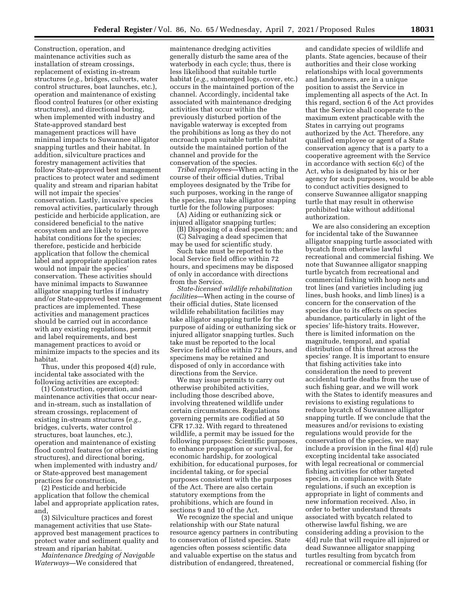Construction, operation, and maintenance activities such as installation of stream crossings, replacement of existing in-stream structures (*e.g.,* bridges, culverts, water control structures, boat launches, etc.), operation and maintenance of existing flood control features (or other existing structures), and directional boring, when implemented with industry and State-approved standard best management practices will have minimal impacts to Suwannee alligator snapping turtles and their habitat. In addition, silviculture practices and forestry management activities that follow State-approved best management practices to protect water and sediment quality and stream and riparian habitat will not impair the species' conservation. Lastly, invasive species removal activities, particularly through pesticide and herbicide application, are considered beneficial to the native ecosystem and are likely to improve habitat conditions for the species; therefore, pesticide and herbicide application that follow the chemical label and appropriate application rates would not impair the species' conservation. These activities should have minimal impacts to Suwannee alligator snapping turtles if industry and/or State-approved best management practices are implemented. These activities and management practices should be carried out in accordance with any existing regulations, permit and label requirements, and best management practices to avoid or minimize impacts to the species and its habitat.

Thus, under this proposed 4(d) rule, incidental take associated with the following activities are excepted:

(1) Construction, operation, and maintenance activities that occur nearand in-stream, such as installation of stream crossings, replacement of existing in-stream structures (*e.g.,*  bridges, culverts, water control structures, boat launches, etc.), operation and maintenance of existing flood control features (or other existing structures), and directional boring, when implemented with industry and/ or State-approved best management practices for construction,

(2) Pesticide and herbicide application that follow the chemical label and appropriate application rates, and,

(3) Silviculture practices and forest management activities that use Stateapproved best management practices to protect water and sediment quality and stream and riparian habitat.

*Maintenance Dredging of Navigable Waterways*—We considered that

maintenance dredging activities generally disturb the same area of the waterbody in each cycle; thus, there is less likelihood that suitable turtle habitat (*e.g.,* submerged logs, cover, etc.) occurs in the maintained portion of the channel. Accordingly, incidental take associated with maintenance dredging activities that occur within the previously disturbed portion of the navigable waterway is excepted from the prohibitions as long as they do not encroach upon suitable turtle habitat outside the maintained portion of the channel and provide for the conservation of the species.

*Tribal employees*—When acting in the course of their official duties, Tribal employees designated by the Tribe for such purposes, working in the range of the species, may take alligator snapping turtle for the following purposes:

(A) Aiding or euthanizing sick or injured alligator snapping turtles;

(B) Disposing of a dead specimen; and (C) Salvaging a dead specimen that may be used for scientific study.

Such take must be reported to the local Service field office within 72 hours, and specimens may be disposed of only in accordance with directions from the Service.

*State-licensed wildlife rehabilitation facilities*—When acting in the course of their official duties, State licensed wildlife rehabilitation facilities may take alligator snapping turtle for the purpose of aiding or euthanizing sick or injured alligator snapping turtles. Such take must be reported to the local Service field office within 72 hours, and specimens may be retained and disposed of only in accordance with directions from the Service.

We may issue permits to carry out otherwise prohibited activities, including those described above, involving threatened wildlife under certain circumstances. Regulations governing permits are codified at 50 CFR 17.32. With regard to threatened wildlife, a permit may be issued for the following purposes: Scientific purposes, to enhance propagation or survival, for economic hardship, for zoological exhibition, for educational purposes, for incidental taking, or for special purposes consistent with the purposes of the Act. There are also certain statutory exemptions from the prohibitions, which are found in sections 9 and 10 of the Act.

We recognize the special and unique relationship with our State natural resource agency partners in contributing to conservation of listed species. State agencies often possess scientific data and valuable expertise on the status and distribution of endangered, threatened,

and candidate species of wildlife and plants. State agencies, because of their authorities and their close working relationships with local governments and landowners, are in a unique position to assist the Service in implementing all aspects of the Act. In this regard, section 6 of the Act provides that the Service shall cooperate to the maximum extent practicable with the States in carrying out programs authorized by the Act. Therefore, any qualified employee or agent of a State conservation agency that is a party to a cooperative agreement with the Service in accordance with section 6(c) of the Act, who is designated by his or her agency for such purposes, would be able to conduct activities designed to conserve Suwannee alligator snapping turtle that may result in otherwise prohibited take without additional authorization.

We are also considering an exception for incidental take of the Suwannee alligator snapping turtle associated with bycatch from otherwise lawful recreational and commercial fishing. We note that Suwannee alligator snapping turtle bycatch from recreational and commercial fishing with hoop nets and trot lines (and varieties including jug lines, bush hooks, and limb lines) is a concern for the conservation of the species due to its effects on species abundance, particularly in light of the species' life-history traits. However, there is limited information on the magnitude, temporal, and spatial distribution of this threat across the species' range. It is important to ensure that fishing activities take into consideration the need to prevent accidental turtle deaths from the use of such fishing gear, and we will work with the States to identify measures and revisions to existing regulations to reduce bycatch of Suwannee alligator snapping turtle. If we conclude that the measures and/or revisions to existing regulations would provide for the conservation of the species, we may include a provision in the final 4(d) rule excepting incidental take associated with legal recreational or commercial fishing activities for other targeted species, in compliance with State regulations, if such an exception is appropriate in light of comments and new information received. Also, in order to better understand threats associated with bycatch related to otherwise lawful fishing, we are considering adding a provision to the 4(d) rule that will require all injured or dead Suwannee alligator snapping turtles resulting from bycatch from recreational or commercial fishing (for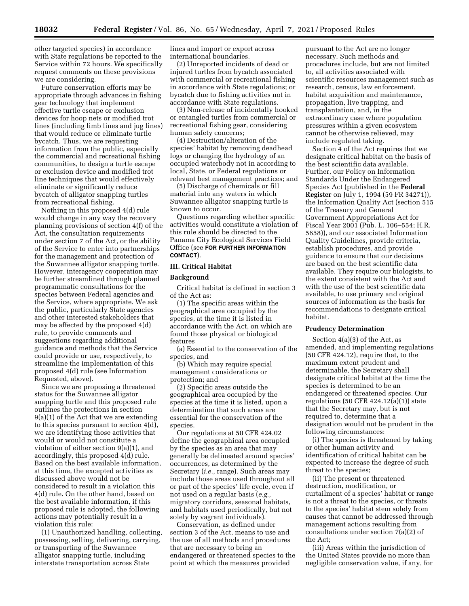other targeted species) in accordance with State regulations be reported to the Service within 72 hours. We specifically request comments on these provisions we are considering.

Future conservation efforts may be appropriate through advances in fishing gear technology that implement effective turtle escape or exclusion devices for hoop nets or modified trot lines (including limb lines and jug lines) that would reduce or eliminate turtle bycatch. Thus, we are requesting information from the public, especially the commercial and recreational fishing communities, to design a turtle escape or exclusion device and modified trot line techniques that would effectively eliminate or significantly reduce bycatch of alligator snapping turtles from recreational fishing.

Nothing in this proposed 4(d) rule would change in any way the recovery planning provisions of section 4(f) of the Act, the consultation requirements under section 7 of the Act, or the ability of the Service to enter into partnerships for the management and protection of the Suwannee alligator snapping turtle. However, interagency cooperation may be further streamlined through planned programmatic consultations for the species between Federal agencies and the Service, where appropriate. We ask the public, particularly State agencies and other interested stakeholders that may be affected by the proposed 4(d) rule, to provide comments and suggestions regarding additional guidance and methods that the Service could provide or use, respectively, to streamline the implementation of this proposed 4(d) rule (see Information Requested, above).

Since we are proposing a threatened status for the Suwannee alligator snapping turtle and this proposed rule outlines the protections in section 9(a)(1) of the Act that we are extending to this species pursuant to section 4(d), we are identifying those activities that would or would not constitute a violation of either section 9(a)(1), and accordingly, this proposed 4(d) rule. Based on the best available information, at this time, the excepted activities as discussed above would not be considered to result in a violation this 4(d) rule. On the other hand, based on the best available information, if this proposed rule is adopted, the following actions may potentially result in a violation this rule:

(1) Unauthorized handling, collecting, possessing, selling, delivering, carrying, or transporting of the Suwannee alligator snapping turtle, including interstate transportation across State

lines and import or export across international boundaries.

(2) Unreported incidents of dead or injured turtles from bycatch associated with commercial or recreational fishing in accordance with State regulations; or bycatch due to fishing activities not in accordance with State regulations.

(3) Non-release of incidentally hooked or entangled turtles from commercial or recreational fishing gear, considering human safety concerns;

(4) Destruction/alteration of the species' habitat by removing deadhead logs or changing the hydrology of an occupied waterbody not in according to local, State, or Federal regulations or relevant best management practices; and

(5) Discharge of chemicals or fill material into any waters in which Suwannee alligator snapping turtle is known to occur.

Questions regarding whether specific activities would constitute a violation of this rule should be directed to the Panama City Ecological Services Field Office (see **FOR FURTHER INFORMATION CONTACT**).

### **III. Critical Habitat**

### **Background**

Critical habitat is defined in section 3 of the Act as:

(1) The specific areas within the geographical area occupied by the species, at the time it is listed in accordance with the Act, on which are found those physical or biological features

(a) Essential to the conservation of the species, and

(b) Which may require special management considerations or protection; and

(2) Specific areas outside the geographical area occupied by the species at the time it is listed, upon a determination that such areas are essential for the conservation of the species.

Our regulations at 50 CFR 424.02 define the geographical area occupied by the species as an area that may generally be delineated around species' occurrences, as determined by the Secretary (*i.e.,* range). Such areas may include those areas used throughout all or part of the species' life cycle, even if not used on a regular basis (*e.g.,*  migratory corridors, seasonal habitats, and habitats used periodically, but not solely by vagrant individuals).

Conservation, as defined under section 3 of the Act, means to use and the use of all methods and procedures that are necessary to bring an endangered or threatened species to the point at which the measures provided

pursuant to the Act are no longer necessary. Such methods and procedures include, but are not limited to, all activities associated with scientific resources management such as research, census, law enforcement, habitat acquisition and maintenance, propagation, live trapping, and transplantation, and, in the extraordinary case where population pressures within a given ecosystem cannot be otherwise relieved, may include regulated taking.

Section 4 of the Act requires that we designate critical habitat on the basis of the best scientific data available. Further, our Policy on Information Standards Under the Endangered Species Act (published in the **Federal Register** on July 1, 1994 (59 FR 34271)), the Information Quality Act (section 515 of the Treasury and General Government Appropriations Act for Fiscal Year 2001 (Pub. L. 106–554; H.R. 5658)), and our associated Information Quality Guidelines, provide criteria, establish procedures, and provide guidance to ensure that our decisions are based on the best scientific data available. They require our biologists, to the extent consistent with the Act and with the use of the best scientific data available, to use primary and original sources of information as the basis for recommendations to designate critical habitat.

# **Prudency Determination**

Section 4(a)(3) of the Act, as amended, and implementing regulations (50 CFR 424.12), require that, to the maximum extent prudent and determinable, the Secretary shall designate critical habitat at the time the species is determined to be an endangered or threatened species. Our regulations (50 CFR 424.12(a)(1)) state that the Secretary may, but is not required to, determine that a designation would not be prudent in the following circumstances:

(i) The species is threatened by taking or other human activity and identification of critical habitat can be expected to increase the degree of such threat to the species;

(ii) The present or threatened destruction, modification, or curtailment of a species' habitat or range is not a threat to the species, or threats to the species' habitat stem solely from causes that cannot be addressed through management actions resulting from consultations under section 7(a)(2) of the Act;

(iii) Areas within the jurisdiction of the United States provide no more than negligible conservation value, if any, for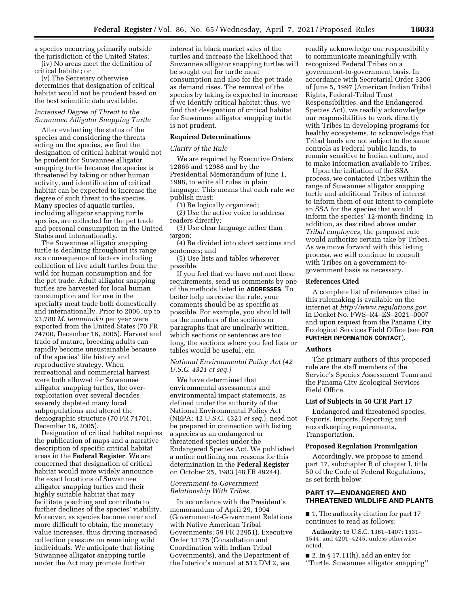a species occurring primarily outside the jurisdiction of the United States; (iv) No areas meet the definition of

critical habitat; or (v) The Secretary otherwise determines that designation of critical habitat would not be prudent based on the best scientific data available.

# *Increased Degree of Threat to the Suwannee Alligator Snapping Turtle*

After evaluating the status of the species and considering the threats acting on the species, we find the designation of critical habitat would not be prudent for Suwannee alligator snapping turtle because the species is threatened by taking or other human activity, and identification of critical habitat can be expected to increase the degree of such threat to the species. Many species of aquatic turtles, including alligator snapping turtle species, are collected for the pet trade and personal consumption in the United States and internationally.

The Suwannee alligator snapping turtle is declining throughout its range as a consequence of factors including collection of live adult turtles from the wild for human consumption and for the pet trade. Adult alligator snapping turtles are harvested for local human consumption and for use in the specialty meat trade both domestically and internationally. Prior to 2006, up to 23,780 *M. temminckii* per year were exported from the United States (70 FR 74700, December 16, 2005). Harvest and trade of mature, breeding adults can rapidly become unsustainable because of the species' life history and reproductive strategy. When recreational and commercial harvest were both allowed for Suwannee alligator snapping turtles, the overexploitation over several decades severely depleted many local subpopulations and altered the demographic structure (70 FR 74701, December 16, 2005).

Designation of critical habitat requires the publication of maps and a narrative description of specific critical habitat areas in the **Federal Register**. We are concerned that designation of critical habitat would more widely announce the exact locations of Suwannee alligator snapping turtles and their highly suitable habitat that may facilitate poaching and contribute to further declines of the species' viability. Moreover, as species become rarer and more difficult to obtain, the monetary value increases, thus driving increased collection pressure on remaining wild individuals. We anticipate that listing Suwannee alligator snapping turtle under the Act may promote further

interest in black market sales of the turtles and increase the likelihood that Suwannee alligator snapping turtles will be sought out for turtle meat consumption and also for the pet trade as demand rises. The removal of the species by taking is expected to increase if we identify critical habitat; thus, we find that designation of critical habitat for Suwannee alligator snapping turtle is not prudent.

# **Required Determinations**

#### *Clarity of the Rule*

We are required by Executive Orders 12866 and 12988 and by the Presidential Memorandum of June 1, 1998, to write all rules in plain language. This means that each rule we publish must:

(1) Be logically organized;

(2) Use the active voice to address readers directly;

(3) Use clear language rather than jargon;

(4) Be divided into short sections and sentences; and

(5) Use lists and tables wherever possible.

If you feel that we have not met these requirements, send us comments by one of the methods listed in **ADDRESSES**. To better help us revise the rule, your comments should be as specific as possible. For example, you should tell us the numbers of the sections or paragraphs that are unclearly written, which sections or sentences are too long, the sections where you feel lists or tables would be useful, etc.

# *National Environmental Policy Act (42 U.S.C. 4321 et seq.)*

We have determined that environmental assessments and environmental impact statements, as defined under the authority of the National Environmental Policy Act (NEPA; 42 U.S.C. 4321 *et seq.*), need not be prepared in connection with listing a species as an endangered or threatened species under the Endangered Species Act. We published a notice outlining our reasons for this determination in the **Federal Register**  on October 25, 1983 (48 FR 49244).

# *Government-to-Government Relationship With Tribes*

In accordance with the President's memorandum of April 29, 1994 (Government-to-Government Relations with Native American Tribal Governments; 59 FR 22951), Executive Order 13175 (Consultation and Coordination with Indian Tribal Governments), and the Department of the Interior's manual at 512 DM 2, we

readily acknowledge our responsibility to communicate meaningfully with recognized Federal Tribes on a government-to-government basis. In accordance with Secretarial Order 3206 of June 5, 1997 (American Indian Tribal Rights, Federal-Tribal Trust Responsibilities, and the Endangered Species Act), we readily acknowledge our responsibilities to work directly with Tribes in developing programs for healthy ecosystems, to acknowledge that Tribal lands are not subject to the same controls as Federal public lands, to remain sensitive to Indian culture, and to make information available to Tribes.

Upon the initiation of the SSA process, we contacted Tribes within the range of Suwannee alligator snapping turtle and additional Tribes of interest to inform them of our intent to complete an SSA for the species that would inform the species' 12-month finding. In addition, as described above under *Tribal employees,* the proposed rule would authorize certain take by Tribes. As we move forward with this listing process, we will continue to consult with Tribes on a government-togovernment basis as necessary.

#### **References Cited**

A complete list of references cited in this rulemaking is available on the internet at *<http://www.regulations.gov>*  in Docket No. FWS–R4–ES–2021–0007 and upon request from the Panama City Ecological Services Field Office (see **FOR FURTHER INFORMATION CONTACT**).

### **Authors**

The primary authors of this proposed rule are the staff members of the Service's Species Assessment Team and the Panama City Ecological Services Field Office.

#### **List of Subjects in 50 CFR Part 17**

Endangered and threatened species, Exports, Imports, Reporting and recordkeeping requirements, Transportation.

# **Proposed Regulation Promulgation**

Accordingly, we propose to amend part 17, subchapter B of chapter I, title 50 of the Code of Federal Regulations, as set forth below:

# **PART 17—ENDANGERED AND THREATENED WILDLIFE AND PLANTS**

■ 1. The authority citation for part 17 continues to read as follows:

**Authority:** 16 U.S.C. 1361–1407; 1531– 1544; and 4201–4245, unless otherwise noted.

 $\blacksquare$  2. In § 17.11(h), add an entry for ''Turtle, Suwannee alligator snapping''